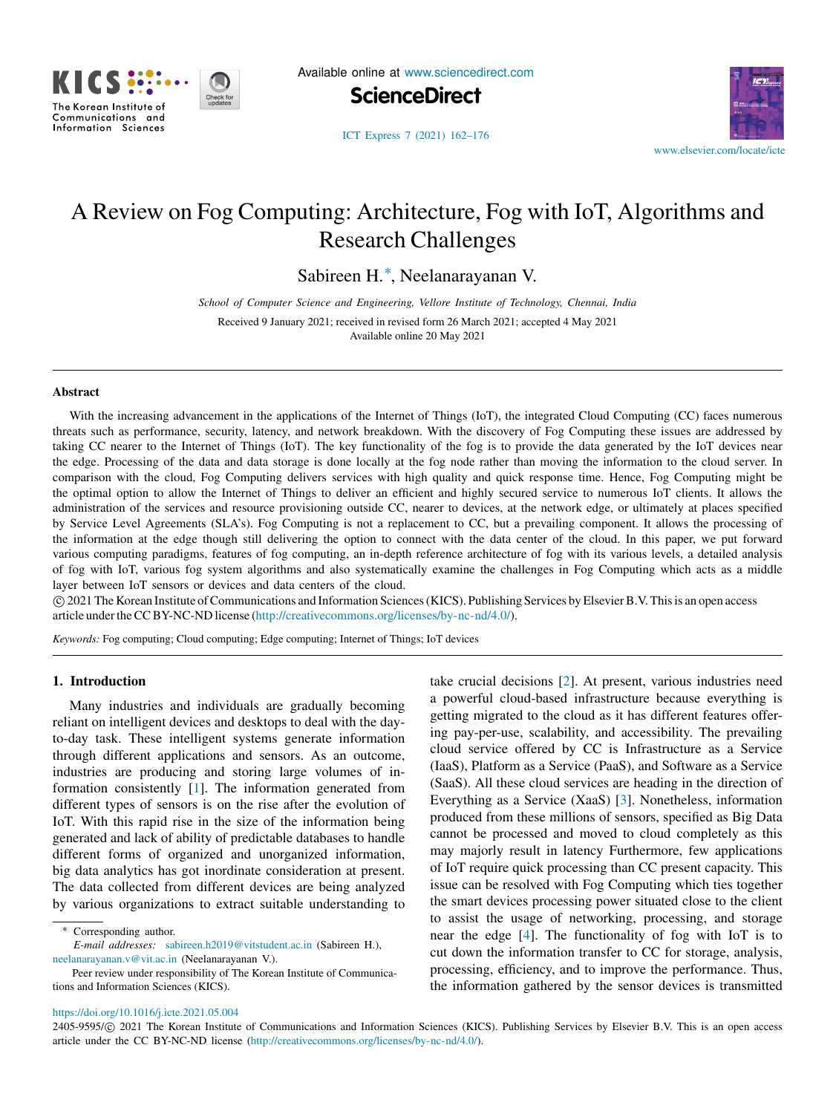

Available online at [www.sciencedirect.com](http://www.elsevier.com/locate/icte)

**ScienceDirect**



[ICT Express 7 \(2021\) 162–176](https://doi.org/10.1016/j.icte.2021.05.004)

# A Review on Fog Computing: Architecture, Fog with IoT, Algorithms and Research Challenges

Sabireen H.[∗](#page-0-0) , Neelanarayanan V.

*School of Computer Science and Engineering, Vellore Institute of Technology, Chennai, India*

Received 9 January 2021; received in revised form 26 March 2021; accepted 4 May 2021 Available online 20 May 2021

# Abstract

With the increasing advancement in the applications of the Internet of Things (IoT), the integrated Cloud Computing (CC) faces numerous threats such as performance, security, latency, and network breakdown. With the discovery of Fog Computing these issues are addressed by taking CC nearer to the Internet of Things (IoT). The key functionality of the fog is to provide the data generated by the IoT devices near the edge. Processing of the data and data storage is done locally at the fog node rather than moving the information to the cloud server. In comparison with the cloud, Fog Computing delivers services with high quality and quick response time. Hence, Fog Computing might be the optimal option to allow the Internet of Things to deliver an efficient and highly secured service to numerous IoT clients. It allows the administration of the services and resource provisioning outside CC, nearer to devices, at the network edge, or ultimately at places specified by Service Level Agreements (SLA's). Fog Computing is not a replacement to CC, but a prevailing component. It allows the processing of the information at the edge though still delivering the option to connect with the data center of the cloud. In this paper, we put forward various computing paradigms, features of fog computing, an in-depth reference architecture of fog with its various levels, a detailed analysis of fog with IoT, various fog system algorithms and also systematically examine the challenges in Fog Computing which acts as a middle layer between IoT sensors or devices and data centers of the cloud.

⃝c 2021 The Korean Institute of Communications and Information Sciences (KICS). Publishing Services by Elsevier B.V. This is an open access article under the CC BY-NC-ND license [\(http://creativecommons.org/licenses/by-nc-nd/4.0/\)](http://creativecommons.org/licenses/by-nc-nd/4.0/).

*Keywords:* Fog computing; Cloud computing; Edge computing; Internet of Things; IoT devices

# 1. Introduction

Many industries and individuals are gradually becoming reliant on intelligent devices and desktops to deal with the dayto-day task. These intelligent systems generate information through different applications and sensors. As an outcome, industries are producing and storing large volumes of information consistently [[1\]](#page-11-0). The information generated from different types of sensors is on the rise after the evolution of IoT. With this rapid rise in the size of the information being generated and lack of ability of predictable databases to handle different forms of organized and unorganized information, big data analytics has got inordinate consideration at present. The data collected from different devices are being analyzed by various organizations to extract suitable understanding to

*E-mail addresses:* [sabireen.h2019@vitstudent.ac.in](mailto:sabireen.h2019@vitstudent.ac.in) (Sabireen H.), [neelanarayanan.v@vit.ac.in](mailto:neelanarayanan.v@vit.ac.in) (Neelanarayanan V.).

take crucial decisions [\[2](#page-11-1)]. At present, various industries need a powerful cloud-based infrastructure because everything is getting migrated to the cloud as it has different features offering pay-per-use, scalability, and accessibility. The prevailing cloud service offered by CC is Infrastructure as a Service (IaaS), Platform as a Service (PaaS), and Software as a Service (SaaS). All these cloud services are heading in the direction of Everything as a Service (XaaS) [[3\]](#page-11-2). Nonetheless, information produced from these millions of sensors, specified as Big Data cannot be processed and moved to cloud completely as this may majorly result in latency Furthermore, few applications of IoT require quick processing than CC present capacity. This issue can be resolved with Fog Computing which ties together the smart devices processing power situated close to the client to assist the usage of networking, processing, and storage near the edge [[4\]](#page-11-3). The functionality of fog with IoT is to cut down the information transfer to CC for storage, analysis, processing, efficiency, and to improve the performance. Thus, the information gathered by the sensor devices is transmitted

## <https://doi.org/10.1016/j.icte.2021.05.004>

2405-9595/© 2021 The Korean Institute of Communications and Information Sciences (KICS). Publishing Services by Elsevier B.V. This is an open access article under the CC BY-NC-ND license (<http://creativecommons.org/licenses/by-nc-nd/4.0/>).

<span id="page-0-0"></span>Corresponding author.

Peer review under responsibility of The Korean Institute of Communications and Information Sciences (KICS).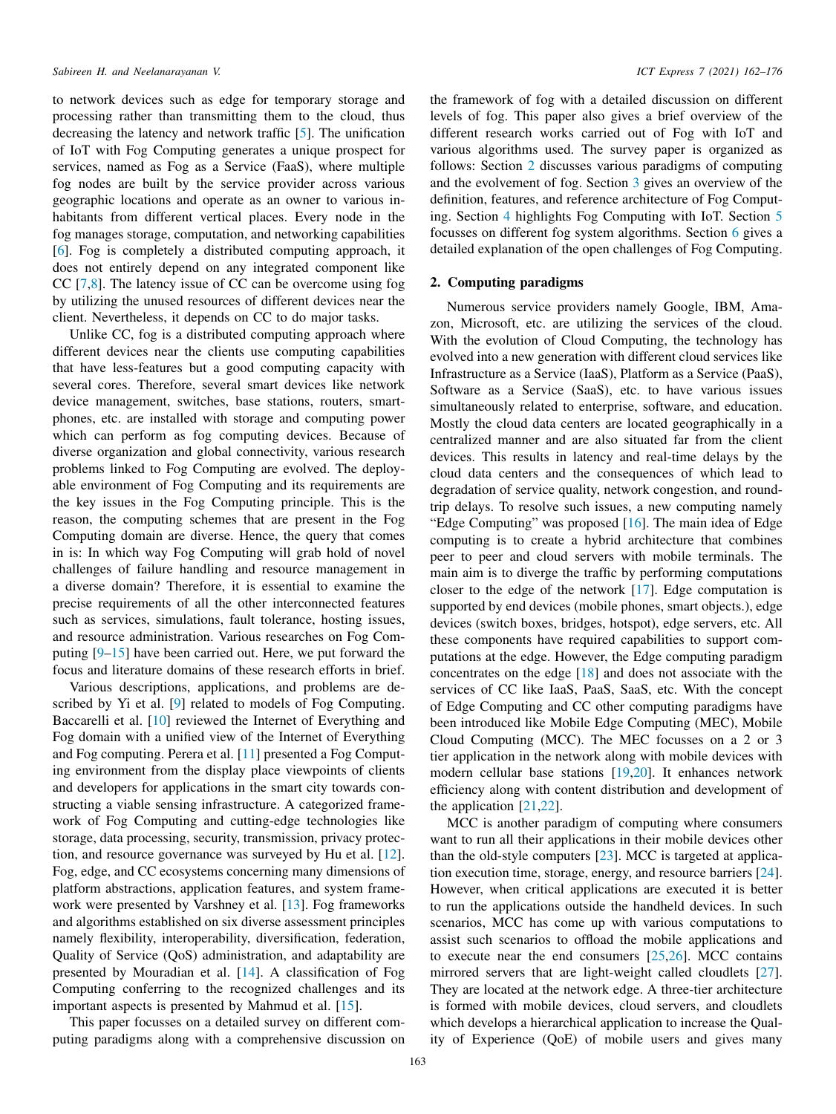to network devices such as edge for temporary storage and processing rather than transmitting them to the cloud, thus decreasing the latency and network traffic [[5](#page-12-0)]. The unification of IoT with Fog Computing generates a unique prospect for services, named as Fog as a Service (FaaS), where multiple fog nodes are built by the service provider across various geographic locations and operate as an owner to various inhabitants from different vertical places. Every node in the fog manages storage, computation, and networking capabilities [[6\]](#page-12-1). Fog is completely a distributed computing approach, it does not entirely depend on any integrated component like CC [\[7](#page-12-2),[8\]](#page-12-3). The latency issue of CC can be overcome using fog by utilizing the unused resources of different devices near the client. Nevertheless, it depends on CC to do major tasks.

Unlike CC, fog is a distributed computing approach where different devices near the clients use computing capabilities that have less-features but a good computing capacity with several cores. Therefore, several smart devices like network device management, switches, base stations, routers, smartphones, etc. are installed with storage and computing power which can perform as fog computing devices. Because of diverse organization and global connectivity, various research problems linked to Fog Computing are evolved. The deployable environment of Fog Computing and its requirements are the key issues in the Fog Computing principle. This is the reason, the computing schemes that are present in the Fog Computing domain are diverse. Hence, the query that comes in is: In which way Fog Computing will grab hold of novel challenges of failure handling and resource management in a diverse domain? Therefore, it is essential to examine the precise requirements of all the other interconnected features such as services, simulations, fault tolerance, hosting issues, and resource administration. Various researches on Fog Computing [\[9](#page-12-4)[–15](#page-12-5)] have been carried out. Here, we put forward the focus and literature domains of these research efforts in brief.

Various descriptions, applications, and problems are de-scribed by Yi et al. [\[9\]](#page-12-4) related to models of Fog Computing. Baccarelli et al. [[10\]](#page-12-6) reviewed the Internet of Everything and Fog domain with a unified view of the Internet of Everything and Fog computing. Perera et al. [\[11](#page-12-7)] presented a Fog Computing environment from the display place viewpoints of clients and developers for applications in the smart city towards constructing a viable sensing infrastructure. A categorized framework of Fog Computing and cutting-edge technologies like storage, data processing, security, transmission, privacy protection, and resource governance was surveyed by Hu et al. [[12\]](#page-12-8). Fog, edge, and CC ecosystems concerning many dimensions of platform abstractions, application features, and system framework were presented by Varshney et al. [\[13](#page-12-9)]. Fog frameworks and algorithms established on six diverse assessment principles namely flexibility, interoperability, diversification, federation, Quality of Service (QoS) administration, and adaptability are presented by Mouradian et al. [\[14](#page-12-10)]. A classification of Fog Computing conferring to the recognized challenges and its important aspects is presented by Mahmud et al. [[15\]](#page-12-5).

This paper focusses on a detailed survey on different computing paradigms along with a comprehensive discussion on

the framework of fog with a detailed discussion on different levels of fog. This paper also gives a brief overview of the different research works carried out of Fog with IoT and various algorithms used. The survey paper is organized as follows: Section [2](#page-1-0) discusses various paradigms of computing and the evolvement of fog. Section [3](#page-2-0) gives an overview of the definition, features, and reference architecture of Fog Computing. Section [4](#page-6-0) highlights Fog Computing with IoT. Section [5](#page-8-0) focusses on different fog system algorithms. Section [6](#page-9-0) gives a detailed explanation of the open challenges of Fog Computing.

# 2. Computing paradigms

<span id="page-1-0"></span>Numerous service providers namely Google, IBM, Amazon, Microsoft, etc. are utilizing the services of the cloud. With the evolution of Cloud Computing, the technology has evolved into a new generation with different cloud services like Infrastructure as a Service (IaaS), Platform as a Service (PaaS), Software as a Service (SaaS), etc. to have various issues simultaneously related to enterprise, software, and education. Mostly the cloud data centers are located geographically in a centralized manner and are also situated far from the client devices. This results in latency and real-time delays by the cloud data centers and the consequences of which lead to degradation of service quality, network congestion, and roundtrip delays. To resolve such issues, a new computing namely "Edge Computing" was proposed [\[16](#page-12-11)]. The main idea of Edge computing is to create a hybrid architecture that combines peer to peer and cloud servers with mobile terminals. The main aim is to diverge the traffic by performing computations closer to the edge of the network [\[17](#page-12-12)]. Edge computation is supported by end devices (mobile phones, smart objects.), edge devices (switch boxes, bridges, hotspot), edge servers, etc. All these components have required capabilities to support computations at the edge. However, the Edge computing paradigm concentrates on the edge [[18\]](#page-12-13) and does not associate with the services of CC like IaaS, PaaS, SaaS, etc. With the concept of Edge Computing and CC other computing paradigms have been introduced like Mobile Edge Computing (MEC), Mobile Cloud Computing (MCC). The MEC focusses on a 2 or 3 tier application in the network along with mobile devices with modern cellular base stations [[19](#page-12-14)[,20](#page-12-15)]. It enhances network efficiency along with content distribution and development of the application [\[21](#page-12-16)[,22](#page-12-17)].

MCC is another paradigm of computing where consumers want to run all their applications in their mobile devices other than the old-style computers [\[23](#page-12-18)]. MCC is targeted at application execution time, storage, energy, and resource barriers [[24\]](#page-12-19). However, when critical applications are executed it is better to run the applications outside the handheld devices. In such scenarios, MCC has come up with various computations to assist such scenarios to offload the mobile applications and to execute near the end consumers [\[25](#page-12-20),[26\]](#page-12-21). MCC contains mirrored servers that are light-weight called cloudlets [[27\]](#page-12-22). They are located at the network edge. A three-tier architecture is formed with mobile devices, cloud servers, and cloudlets which develops a hierarchical application to increase the Quality of Experience (QoE) of mobile users and gives many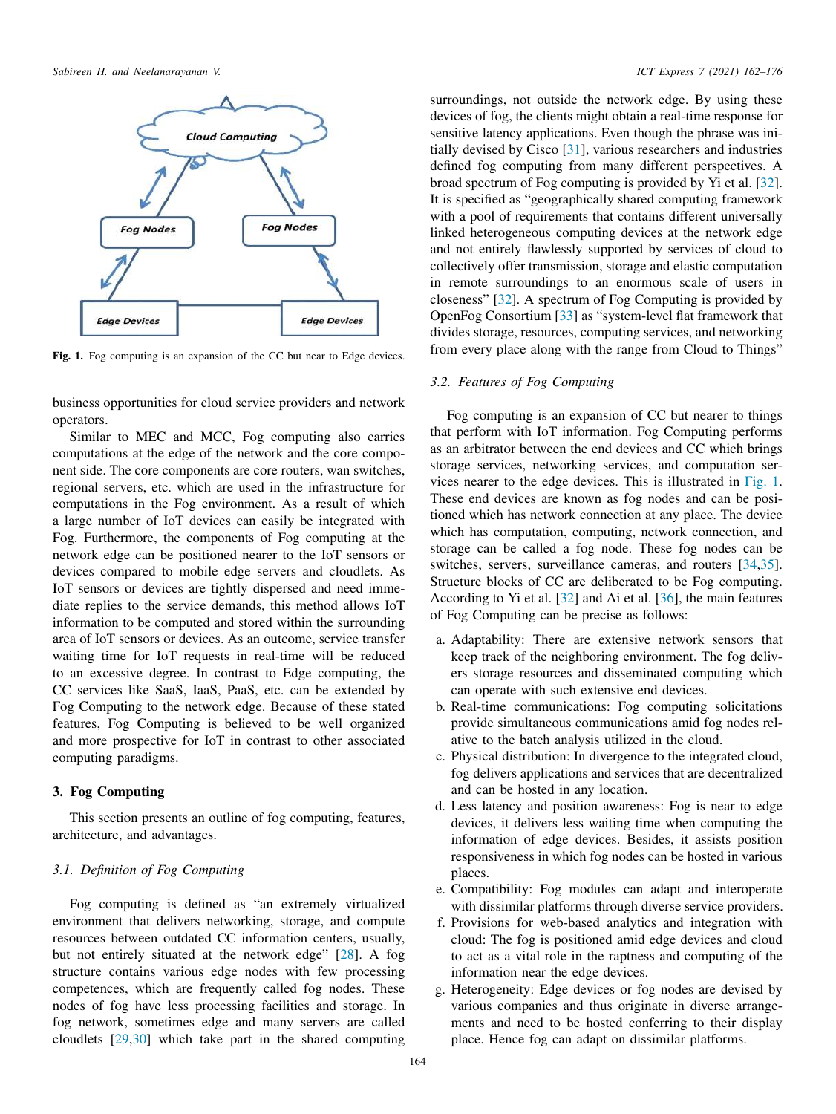

<span id="page-2-1"></span>Fig. 1. Fog computing is an expansion of the CC but near to Edge devices.

business opportunities for cloud service providers and network operators.

Similar to MEC and MCC, Fog computing also carries computations at the edge of the network and the core component side. The core components are core routers, wan switches, regional servers, etc. which are used in the infrastructure for computations in the Fog environment. As a result of which a large number of IoT devices can easily be integrated with Fog. Furthermore, the components of Fog computing at the network edge can be positioned nearer to the IoT sensors or devices compared to mobile edge servers and cloudlets. As IoT sensors or devices are tightly dispersed and need immediate replies to the service demands, this method allows IoT information to be computed and stored within the surrounding area of IoT sensors or devices. As an outcome, service transfer waiting time for IoT requests in real-time will be reduced to an excessive degree. In contrast to Edge computing, the CC services like SaaS, IaaS, PaaS, etc. can be extended by Fog Computing to the network edge. Because of these stated features, Fog Computing is believed to be well organized and more prospective for IoT in contrast to other associated computing paradigms.

# 3. Fog Computing

<span id="page-2-0"></span>This section presents an outline of fog computing, features, architecture, and advantages.

# *3.1. Definition of Fog Computing*

Fog computing is defined as "an extremely virtualized environment that delivers networking, storage, and compute resources between outdated CC information centers, usually, but not entirely situated at the network edge" [\[28](#page-12-23)]. A fog structure contains various edge nodes with few processing competences, which are frequently called fog nodes. These nodes of fog have less processing facilities and storage. In fog network, sometimes edge and many servers are called cloudlets [\[29](#page-12-24)[,30](#page-12-25)] which take part in the shared computing

surroundings, not outside the network edge. By using these devices of fog, the clients might obtain a real-time response for sensitive latency applications. Even though the phrase was initially devised by Cisco [\[31](#page-12-26)], various researchers and industries defined fog computing from many different perspectives. A broad spectrum of Fog computing is provided by Yi et al. [[32\]](#page-12-27). It is specified as "geographically shared computing framework with a pool of requirements that contains different universally linked heterogeneous computing devices at the network edge and not entirely flawlessly supported by services of cloud to collectively offer transmission, storage and elastic computation in remote surroundings to an enormous scale of users in closeness" [[32\]](#page-12-27). A spectrum of Fog Computing is provided by OpenFog Consortium [[33\]](#page-12-28) as "system-level flat framework that divides storage, resources, computing services, and networking from every place along with the range from Cloud to Things"

# *3.2. Features of Fog Computing*

Fog computing is an expansion of CC but nearer to things that perform with IoT information. Fog Computing performs as an arbitrator between the end devices and CC which brings storage services, networking services, and computation services nearer to the edge devices. This is illustrated in [Fig. 1](#page-2-1). These end devices are known as fog nodes and can be positioned which has network connection at any place. The device which has computation, computing, network connection, and storage can be called a fog node. These fog nodes can be switches, servers, surveillance cameras, and routers [\[34](#page-12-29),[35\]](#page-12-30). Structure blocks of CC are deliberated to be Fog computing. According to Yi et al. [\[32](#page-12-27)] and Ai et al. [\[36](#page-12-31)], the main features of Fog Computing can be precise as follows:

- a. Adaptability: There are extensive network sensors that keep track of the neighboring environment. The fog delivers storage resources and disseminated computing which can operate with such extensive end devices.
- b. Real-time communications: Fog computing solicitations provide simultaneous communications amid fog nodes relative to the batch analysis utilized in the cloud.
- c. Physical distribution: In divergence to the integrated cloud, fog delivers applications and services that are decentralized and can be hosted in any location.
- d. Less latency and position awareness: Fog is near to edge devices, it delivers less waiting time when computing the information of edge devices. Besides, it assists position responsiveness in which fog nodes can be hosted in various places.
- e. Compatibility: Fog modules can adapt and interoperate with dissimilar platforms through diverse service providers.
- f. Provisions for web-based analytics and integration with cloud: The fog is positioned amid edge devices and cloud to act as a vital role in the raptness and computing of the information near the edge devices.
- g. Heterogeneity: Edge devices or fog nodes are devised by various companies and thus originate in diverse arrangements and need to be hosted conferring to their display place. Hence fog can adapt on dissimilar platforms.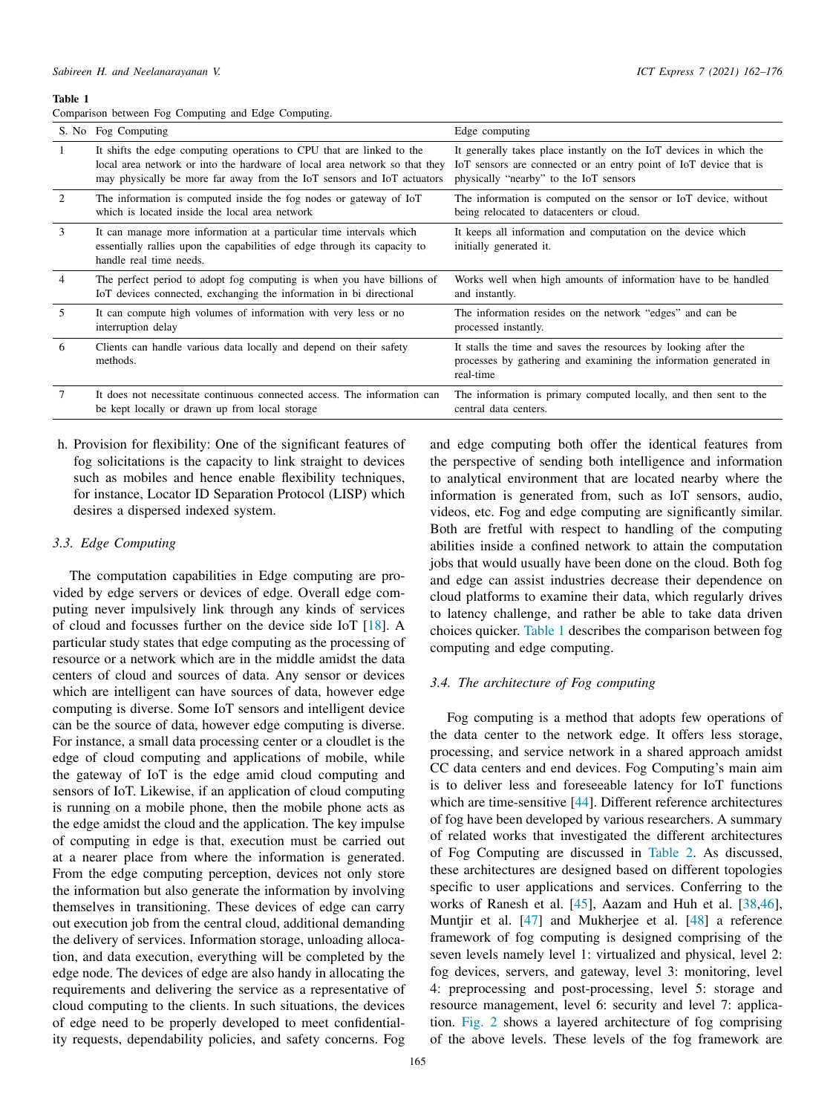#### Table 1

<span id="page-3-0"></span>Comparison between Fog Computing and Edge Computing.

|                | S. No Fog Computing                                                                                                                                                                                                           | Edge computing                                                                                                                                                                    |
|----------------|-------------------------------------------------------------------------------------------------------------------------------------------------------------------------------------------------------------------------------|-----------------------------------------------------------------------------------------------------------------------------------------------------------------------------------|
|                | It shifts the edge computing operations to CPU that are linked to the<br>local area network or into the hardware of local area network so that they<br>may physically be more far away from the IoT sensors and IoT actuators | It generally takes place instantly on the IoT devices in which the<br>IoT sensors are connected or an entry point of IoT device that is<br>physically "nearby" to the IoT sensors |
| 2              | The information is computed inside the fog nodes or gateway of IoT<br>which is located inside the local area network                                                                                                          | The information is computed on the sensor or IoT device, without<br>being relocated to datacenters or cloud.                                                                      |
| 3              | It can manage more information at a particular time intervals which<br>essentially rallies upon the capabilities of edge through its capacity to<br>handle real time needs.                                                   | It keeps all information and computation on the device which<br>initially generated it.                                                                                           |
| $\overline{4}$ | The perfect period to adopt fog computing is when you have billions of<br>IoT devices connected, exchanging the information in bi directional                                                                                 | Works well when high amounts of information have to be handled<br>and instantly.                                                                                                  |
| .5             | It can compute high volumes of information with very less or no<br>interruption delay                                                                                                                                         | The information resides on the network "edges" and can be<br>processed instantly.                                                                                                 |
| 6              | Clients can handle various data locally and depend on their safety<br>methods.                                                                                                                                                | It stalls the time and saves the resources by looking after the<br>processes by gathering and examining the information generated in<br>real-time                                 |
| 7              | It does not necessitate continuous connected access. The information can<br>be kept locally or drawn up from local storage                                                                                                    | The information is primary computed locally, and then sent to the<br>central data centers.                                                                                        |

h. Provision for flexibility: One of the significant features of fog solicitations is the capacity to link straight to devices such as mobiles and hence enable flexibility techniques, for instance, Locator ID Separation Protocol (LISP) which desires a dispersed indexed system.

# *3.3. Edge Computing*

The computation capabilities in Edge computing are provided by edge servers or devices of edge. Overall edge computing never impulsively link through any kinds of services of cloud and focusses further on the device side IoT [[18\]](#page-12-13). A particular study states that edge computing as the processing of resource or a network which are in the middle amidst the data centers of cloud and sources of data. Any sensor or devices which are intelligent can have sources of data, however edge computing is diverse. Some IoT sensors and intelligent device can be the source of data, however edge computing is diverse. For instance, a small data processing center or a cloudlet is the edge of cloud computing and applications of mobile, while the gateway of IoT is the edge amid cloud computing and sensors of IoT. Likewise, if an application of cloud computing is running on a mobile phone, then the mobile phone acts as the edge amidst the cloud and the application. The key impulse of computing in edge is that, execution must be carried out at a nearer place from where the information is generated. From the edge computing perception, devices not only store the information but also generate the information by involving themselves in transitioning. These devices of edge can carry out execution job from the central cloud, additional demanding the delivery of services. Information storage, unloading allocation, and data execution, everything will be completed by the edge node. The devices of edge are also handy in allocating the requirements and delivering the service as a representative of cloud computing to the clients. In such situations, the devices of edge need to be properly developed to meet confidentiality requests, dependability policies, and safety concerns. Fog

and edge computing both offer the identical features from the perspective of sending both intelligence and information to analytical environment that are located nearby where the information is generated from, such as IoT sensors, audio, videos, etc. Fog and edge computing are significantly similar. Both are fretful with respect to handling of the computing abilities inside a confined network to attain the computation jobs that would usually have been done on the cloud. Both fog and edge can assist industries decrease their dependence on cloud platforms to examine their data, which regularly drives to latency challenge, and rather be able to take data driven choices quicker. [Table 1](#page-3-0) describes the comparison between fog computing and edge computing.

# *3.4. The architecture of Fog computing*

Fog computing is a method that adopts few operations of the data center to the network edge. It offers less storage, processing, and service network in a shared approach amidst CC data centers and end devices. Fog Computing's main aim is to deliver less and foreseeable latency for IoT functions which are time-sensitive [[44\]](#page-12-32). Different reference architectures of fog have been developed by various researchers. A summary of related works that investigated the different architectures of Fog Computing are discussed in [Table 2.](#page-4-0) As discussed, these architectures are designed based on different topologies specific to user applications and services. Conferring to the works of Ranesh et al. [\[45](#page-12-33)], Aazam and Huh et al. [\[38](#page-12-34),[46\]](#page-13-0), Muntjir et al. [[47\]](#page-13-1) and Mukherjee et al. [\[48\]](#page-13-2) a reference framework of fog computing is designed comprising of the seven levels namely level 1: virtualized and physical, level 2: fog devices, servers, and gateway, level 3: monitoring, level 4: preprocessing and post-processing, level 5: storage and resource management, level 6: security and level 7: application. [Fig. 2](#page-4-1) shows a layered architecture of fog comprising of the above levels. These levels of the fog framework are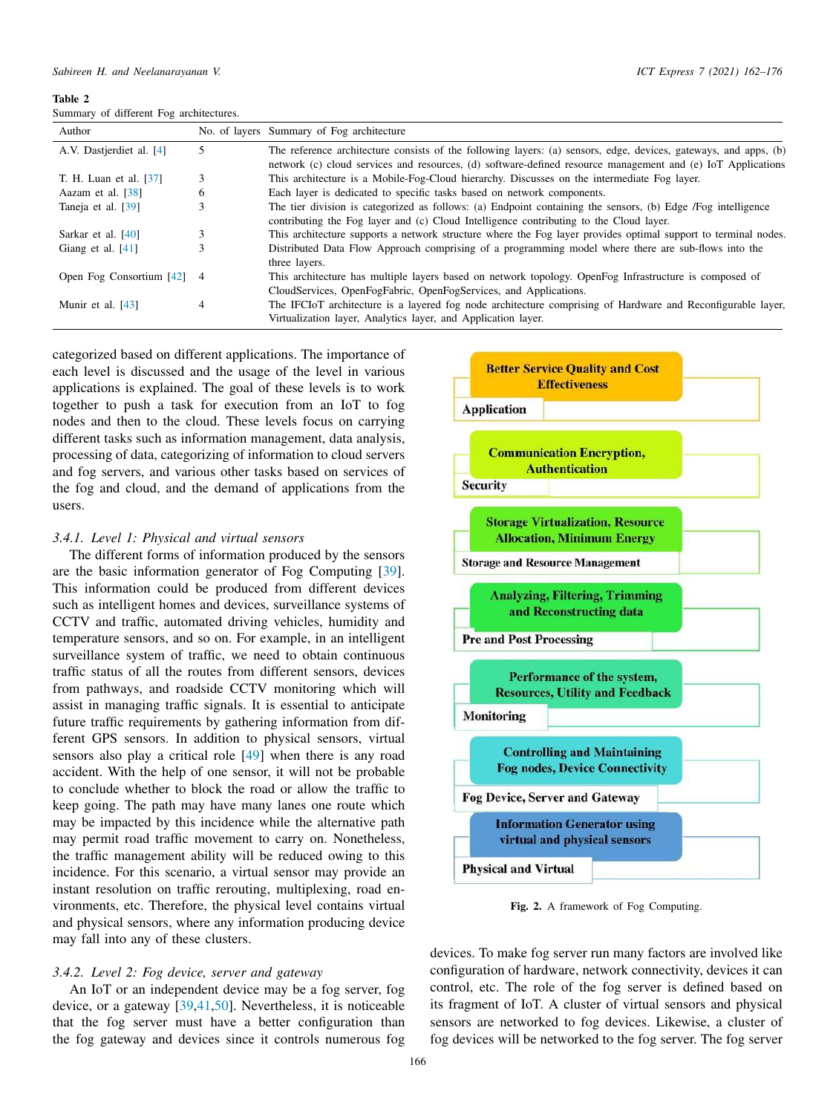<span id="page-4-0"></span>Table 2 Summary of different Fog architectures.

| Author                       |   | No. of layers Summary of Fog architecture                                                                                                                                                                                       |
|------------------------------|---|---------------------------------------------------------------------------------------------------------------------------------------------------------------------------------------------------------------------------------|
| A.V. Dastjerdiet al. [4]     | 5 | The reference architecture consists of the following layers: (a) sensors, edge, devices, gateways, and apps, (b)<br>network (c) cloud services and resources, (d) software-defined resource management and (e) IoT Applications |
| T. H. Luan et al. [37]       |   | This architecture is a Mobile-Fog-Cloud hierarchy. Discusses on the intermediate Fog layer.                                                                                                                                     |
| Aazam et al. [38]            | 6 | Each layer is dedicated to specific tasks based on network components.                                                                                                                                                          |
| Taneja et al. [39]           |   | The tier division is categorized as follows: (a) Endpoint containing the sensors, (b) Edge /Fog intelligence<br>contributing the Fog layer and (c) Cloud Intelligence contributing to the Cloud layer.                          |
| Sarkar et al. [40]           |   | This architecture supports a network structure where the Fog layer provides optimal support to terminal nodes.                                                                                                                  |
| Giang et al. $[41]$          |   | Distributed Data Flow Approach comprising of a programming model where there are sub-flows into the<br>three layers.                                                                                                            |
| Open Fog Consortium $[42]$ 4 |   | This architecture has multiple layers based on network topology. OpenFog Infrastructure is composed of<br>CloudServices, OpenFogFabric, OpenFogServices, and Applications.                                                      |
| Munir et al. [43]            | 4 | The IFCIoT architecture is a layered fog node architecture comprising of Hardware and Reconfigurable layer,<br>Virtualization layer, Analytics layer, and Application layer.                                                    |

categorized based on different applications. The importance of each level is discussed and the usage of the level in various applications is explained. The goal of these levels is to work together to push a task for execution from an IoT to fog nodes and then to the cloud. These levels focus on carrying different tasks such as information management, data analysis, processing of data, categorizing of information to cloud servers and fog servers, and various other tasks based on services of the fog and cloud, and the demand of applications from the users.

# *3.4.1. Level 1: Physical and virtual sensors*

The different forms of information produced by the sensors are the basic information generator of Fog Computing [[39\]](#page-12-36). This information could be produced from different devices such as intelligent homes and devices, surveillance systems of CCTV and traffic, automated driving vehicles, humidity and temperature sensors, and so on. For example, in an intelligent surveillance system of traffic, we need to obtain continuous traffic status of all the routes from different sensors, devices from pathways, and roadside CCTV monitoring which will assist in managing traffic signals. It is essential to anticipate future traffic requirements by gathering information from different GPS sensors. In addition to physical sensors, virtual sensors also play a critical role [\[49](#page-13-3)] when there is any road accident. With the help of one sensor, it will not be probable to conclude whether to block the road or allow the traffic to keep going. The path may have many lanes one route which may be impacted by this incidence while the alternative path may permit road traffic movement to carry on. Nonetheless, the traffic management ability will be reduced owing to this incidence. For this scenario, a virtual sensor may provide an instant resolution on traffic rerouting, multiplexing, road environments, etc. Therefore, the physical level contains virtual and physical sensors, where any information producing device may fall into any of these clusters.

# *3.4.2. Level 2: Fog device, server and gateway*

An IoT or an independent device may be a fog server, fog device, or a gateway [[39](#page-12-36)[,41](#page-12-38),[50\]](#page-13-4). Nevertheless, it is noticeable that the fog server must have a better configuration than the fog gateway and devices since it controls numerous fog



Fig. 2. A framework of Fog Computing.

<span id="page-4-1"></span>devices. To make fog server run many factors are involved like configuration of hardware, network connectivity, devices it can control, etc. The role of the fog server is defined based on its fragment of IoT. A cluster of virtual sensors and physical sensors are networked to fog devices. Likewise, a cluster of fog devices will be networked to the fog server. The fog server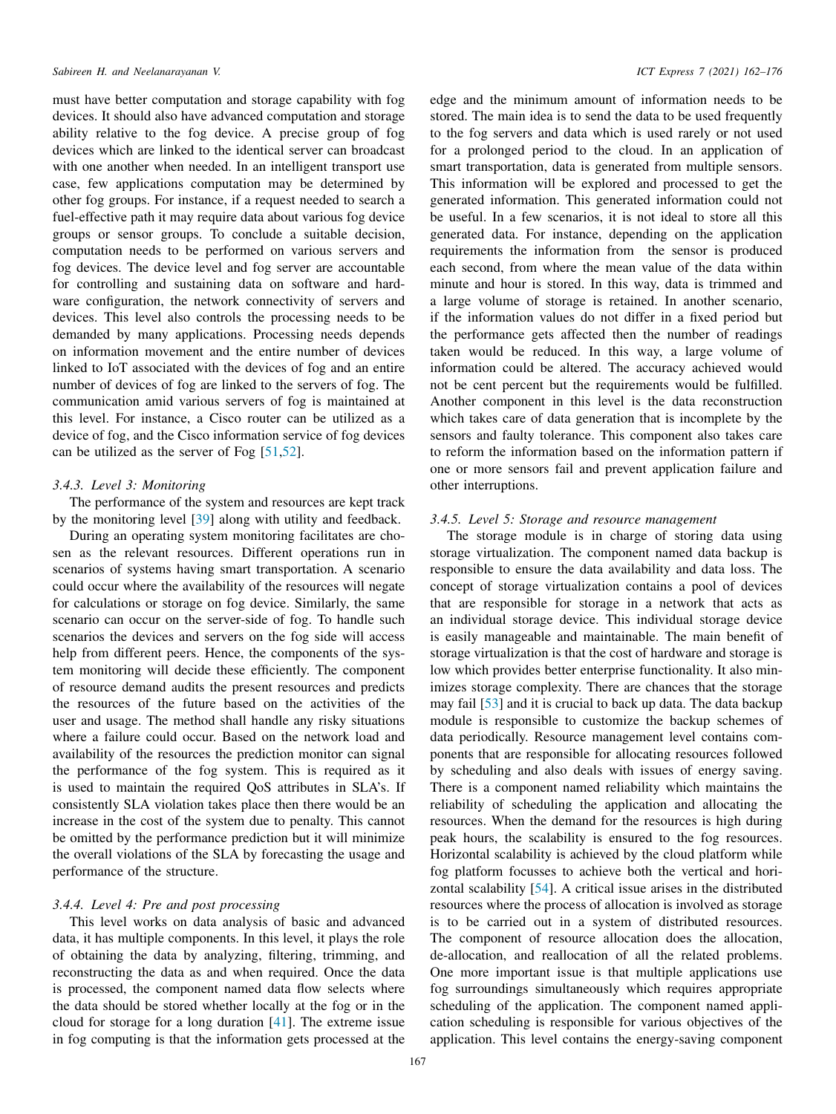must have better computation and storage capability with fog devices. It should also have advanced computation and storage ability relative to the fog device. A precise group of fog devices which are linked to the identical server can broadcast with one another when needed. In an intelligent transport use case, few applications computation may be determined by other fog groups. For instance, if a request needed to search a fuel-effective path it may require data about various fog device groups or sensor groups. To conclude a suitable decision, computation needs to be performed on various servers and fog devices. The device level and fog server are accountable for controlling and sustaining data on software and hardware configuration, the network connectivity of servers and devices. This level also controls the processing needs to be demanded by many applications. Processing needs depends on information movement and the entire number of devices linked to IoT associated with the devices of fog and an entire number of devices of fog are linked to the servers of fog. The communication amid various servers of fog is maintained at this level. For instance, a Cisco router can be utilized as a device of fog, and the Cisco information service of fog devices can be utilized as the server of Fog [[51](#page-13-5)[,52](#page-13-6)].

## *3.4.3. Level 3: Monitoring*

The performance of the system and resources are kept track by the monitoring level [[39\]](#page-12-36) along with utility and feedback.

During an operating system monitoring facilitates are chosen as the relevant resources. Different operations run in scenarios of systems having smart transportation. A scenario could occur where the availability of the resources will negate for calculations or storage on fog device. Similarly, the same scenario can occur on the server-side of fog. To handle such scenarios the devices and servers on the fog side will access help from different peers. Hence, the components of the system monitoring will decide these efficiently. The component of resource demand audits the present resources and predicts the resources of the future based on the activities of the user and usage. The method shall handle any risky situations where a failure could occur. Based on the network load and availability of the resources the prediction monitor can signal the performance of the fog system. This is required as it is used to maintain the required QoS attributes in SLA's. If consistently SLA violation takes place then there would be an increase in the cost of the system due to penalty. This cannot be omitted by the performance prediction but it will minimize the overall violations of the SLA by forecasting the usage and performance of the structure.

# *3.4.4. Level 4: Pre and post processing*

This level works on data analysis of basic and advanced data, it has multiple components. In this level, it plays the role of obtaining the data by analyzing, filtering, trimming, and reconstructing the data as and when required. Once the data is processed, the component named data flow selects where the data should be stored whether locally at the fog or in the cloud for storage for a long duration [[41\]](#page-12-38). The extreme issue in fog computing is that the information gets processed at the

edge and the minimum amount of information needs to be stored. The main idea is to send the data to be used frequently to the fog servers and data which is used rarely or not used for a prolonged period to the cloud. In an application of smart transportation, data is generated from multiple sensors. This information will be explored and processed to get the generated information. This generated information could not be useful. In a few scenarios, it is not ideal to store all this generated data. For instance, depending on the application requirements the information from the sensor is produced each second, from where the mean value of the data within minute and hour is stored. In this way, data is trimmed and a large volume of storage is retained. In another scenario, if the information values do not differ in a fixed period but the performance gets affected then the number of readings taken would be reduced. In this way, a large volume of information could be altered. The accuracy achieved would not be cent percent but the requirements would be fulfilled. Another component in this level is the data reconstruction which takes care of data generation that is incomplete by the sensors and faulty tolerance. This component also takes care to reform the information based on the information pattern if one or more sensors fail and prevent application failure and other interruptions.

# *3.4.5. Level 5: Storage and resource management*

The storage module is in charge of storing data using storage virtualization. The component named data backup is responsible to ensure the data availability and data loss. The concept of storage virtualization contains a pool of devices that are responsible for storage in a network that acts as an individual storage device. This individual storage device is easily manageable and maintainable. The main benefit of storage virtualization is that the cost of hardware and storage is low which provides better enterprise functionality. It also minimizes storage complexity. There are chances that the storage may fail [\[53](#page-13-7)] and it is crucial to back up data. The data backup module is responsible to customize the backup schemes of data periodically. Resource management level contains components that are responsible for allocating resources followed by scheduling and also deals with issues of energy saving. There is a component named reliability which maintains the reliability of scheduling the application and allocating the resources. When the demand for the resources is high during peak hours, the scalability is ensured to the fog resources. Horizontal scalability is achieved by the cloud platform while fog platform focusses to achieve both the vertical and horizontal scalability [\[54](#page-13-8)]. A critical issue arises in the distributed resources where the process of allocation is involved as storage is to be carried out in a system of distributed resources. The component of resource allocation does the allocation, de-allocation, and reallocation of all the related problems. One more important issue is that multiple applications use fog surroundings simultaneously which requires appropriate scheduling of the application. The component named application scheduling is responsible for various objectives of the application. This level contains the energy-saving component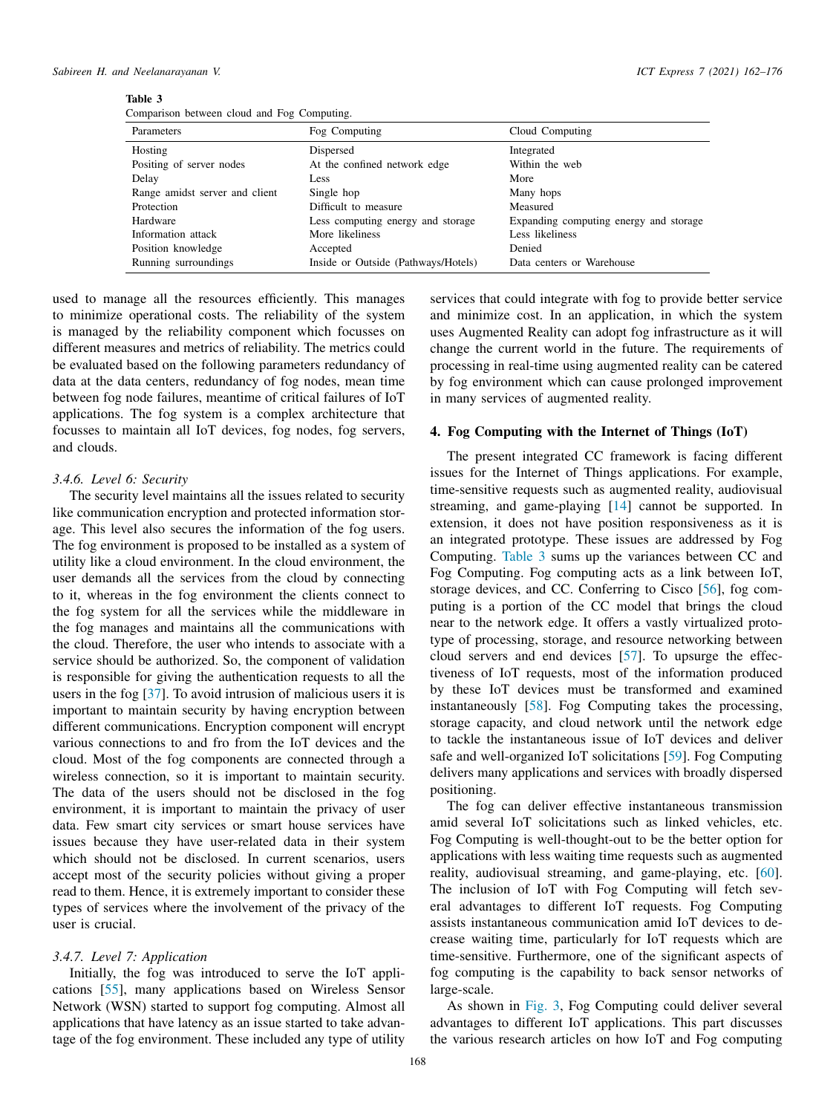<span id="page-6-1"></span>

| яnі |  |
|-----|--|
|-----|--|

|  |  |  |  |  | Comparison between cloud and Fog Computing. |
|--|--|--|--|--|---------------------------------------------|
|--|--|--|--|--|---------------------------------------------|

| Parameters                     | Fog Computing                       | Cloud Computing                        |
|--------------------------------|-------------------------------------|----------------------------------------|
| Hosting                        | Dispersed                           | Integrated                             |
| Positing of server nodes       | At the confined network edge        | Within the web                         |
| Delay                          | Less                                | More                                   |
| Range amidst server and client | Single hop                          | Many hops                              |
| Protection                     | Difficult to measure                | Measured                               |
| Hardware                       | Less computing energy and storage   | Expanding computing energy and storage |
| Information attack             | More likeliness                     | Less likeliness                        |
| Position knowledge             | Accepted                            | Denied                                 |
| Running surroundings           | Inside or Outside (Pathways/Hotels) | Data centers or Warehouse              |

used to manage all the resources efficiently. This manages to minimize operational costs. The reliability of the system is managed by the reliability component which focusses on different measures and metrics of reliability. The metrics could be evaluated based on the following parameters redundancy of data at the data centers, redundancy of fog nodes, mean time between fog node failures, meantime of critical failures of IoT applications. The fog system is a complex architecture that focusses to maintain all IoT devices, fog nodes, fog servers, and clouds.

## *3.4.6. Level 6: Security*

The security level maintains all the issues related to security like communication encryption and protected information storage. This level also secures the information of the fog users. The fog environment is proposed to be installed as a system of utility like a cloud environment. In the cloud environment, the user demands all the services from the cloud by connecting to it, whereas in the fog environment the clients connect to the fog system for all the services while the middleware in the fog manages and maintains all the communications with the cloud. Therefore, the user who intends to associate with a service should be authorized. So, the component of validation is responsible for giving the authentication requests to all the users in the fog [[37\]](#page-12-35). To avoid intrusion of malicious users it is important to maintain security by having encryption between different communications. Encryption component will encrypt various connections to and fro from the IoT devices and the cloud. Most of the fog components are connected through a wireless connection, so it is important to maintain security. The data of the users should not be disclosed in the fog environment, it is important to maintain the privacy of user data. Few smart city services or smart house services have issues because they have user-related data in their system which should not be disclosed. In current scenarios, users accept most of the security policies without giving a proper read to them. Hence, it is extremely important to consider these types of services where the involvement of the privacy of the user is crucial.

# *3.4.7. Level 7: Application*

Initially, the fog was introduced to serve the IoT applications [[55\]](#page-13-9), many applications based on Wireless Sensor Network (WSN) started to support fog computing. Almost all applications that have latency as an issue started to take advantage of the fog environment. These included any type of utility

services that could integrate with fog to provide better service and minimize cost. In an application, in which the system uses Augmented Reality can adopt fog infrastructure as it will change the current world in the future. The requirements of processing in real-time using augmented reality can be catered by fog environment which can cause prolonged improvement in many services of augmented reality.

# 4. Fog Computing with the Internet of Things (IoT)

<span id="page-6-0"></span>The present integrated CC framework is facing different issues for the Internet of Things applications. For example, time-sensitive requests such as augmented reality, audiovisual streaming, and game-playing [[14\]](#page-12-10) cannot be supported. In extension, it does not have position responsiveness as it is an integrated prototype. These issues are addressed by Fog Computing. [Table 3](#page-6-1) sums up the variances between CC and Fog Computing. Fog computing acts as a link between IoT, storage devices, and CC. Conferring to Cisco [[56\]](#page-13-10), fog computing is a portion of the CC model that brings the cloud near to the network edge. It offers a vastly virtualized prototype of processing, storage, and resource networking between cloud servers and end devices [\[57](#page-13-11)]. To upsurge the effectiveness of IoT requests, most of the information produced by these IoT devices must be transformed and examined instantaneously [\[58](#page-13-12)]. Fog Computing takes the processing, storage capacity, and cloud network until the network edge to tackle the instantaneous issue of IoT devices and deliver safe and well-organized IoT solicitations [\[59](#page-13-13)]. Fog Computing delivers many applications and services with broadly dispersed positioning.

The fog can deliver effective instantaneous transmission amid several IoT solicitations such as linked vehicles, etc. Fog Computing is well-thought-out to be the better option for applications with less waiting time requests such as augmented reality, audiovisual streaming, and game-playing, etc. [[60\]](#page-13-14). The inclusion of IoT with Fog Computing will fetch several advantages to different IoT requests. Fog Computing assists instantaneous communication amid IoT devices to decrease waiting time, particularly for IoT requests which are time-sensitive. Furthermore, one of the significant aspects of fog computing is the capability to back sensor networks of large-scale.

As shown in [Fig. 3,](#page-7-0) Fog Computing could deliver several advantages to different IoT applications. This part discusses the various research articles on how IoT and Fog computing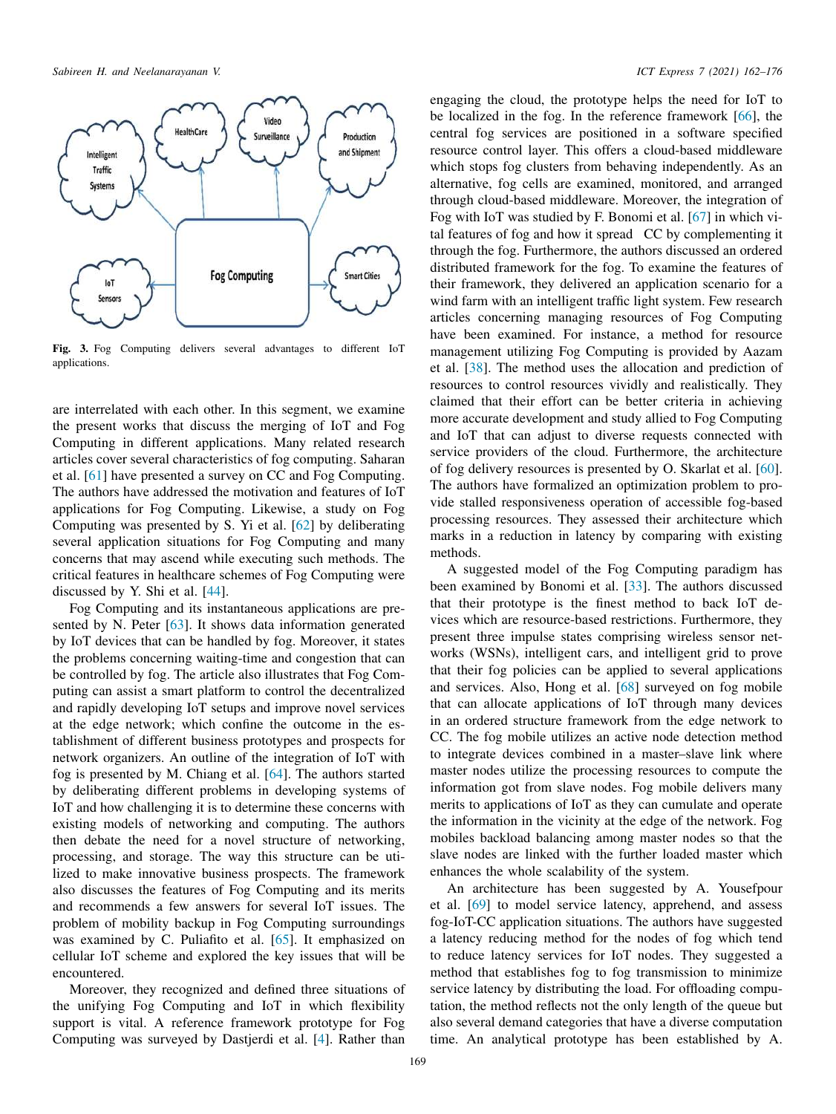

<span id="page-7-0"></span>Fig. 3. Fog Computing delivers several advantages to different IoT applications.

are interrelated with each other. In this segment, we examine the present works that discuss the merging of IoT and Fog Computing in different applications. Many related research articles cover several characteristics of fog computing. Saharan et al. [\[61](#page-13-15)] have presented a survey on CC and Fog Computing. The authors have addressed the motivation and features of IoT applications for Fog Computing. Likewise, a study on Fog Computing was presented by S. Yi et al. [[62\]](#page-13-16) by deliberating several application situations for Fog Computing and many concerns that may ascend while executing such methods. The critical features in healthcare schemes of Fog Computing were discussed by Y. Shi et al. [[44](#page-12-32)].

Fog Computing and its instantaneous applications are presented by N. Peter [\[63](#page-13-17)]. It shows data information generated by IoT devices that can be handled by fog. Moreover, it states the problems concerning waiting-time and congestion that can be controlled by fog. The article also illustrates that Fog Computing can assist a smart platform to control the decentralized and rapidly developing IoT setups and improve novel services at the edge network; which confine the outcome in the establishment of different business prototypes and prospects for network organizers. An outline of the integration of IoT with fog is presented by M. Chiang et al. [[64\]](#page-13-18). The authors started by deliberating different problems in developing systems of IoT and how challenging it is to determine these concerns with existing models of networking and computing. The authors then debate the need for a novel structure of networking, processing, and storage. The way this structure can be utilized to make innovative business prospects. The framework also discusses the features of Fog Computing and its merits and recommends a few answers for several IoT issues. The problem of mobility backup in Fog Computing surroundings was examined by C. Puliafito et al. [\[65](#page-13-19)]. It emphasized on cellular IoT scheme and explored the key issues that will be encountered.

Moreover, they recognized and defined three situations of the unifying Fog Computing and IoT in which flexibility support is vital. A reference framework prototype for Fog Computing was surveyed by Dastjerdi et al. [[4\]](#page-11-3). Rather than

engaging the cloud, the prototype helps the need for IoT to be localized in the fog. In the reference framework [[66\]](#page-13-20), the central fog services are positioned in a software specified resource control layer. This offers a cloud-based middleware which stops fog clusters from behaving independently. As an alternative, fog cells are examined, monitored, and arranged through cloud-based middleware. Moreover, the integration of Fog with IoT was studied by F. Bonomi et al. [[67](#page-13-21)] in which vital features of fog and how it spread CC by complementing it through the fog. Furthermore, the authors discussed an ordered distributed framework for the fog. To examine the features of their framework, they delivered an application scenario for a wind farm with an intelligent traffic light system. Few research articles concerning managing resources of Fog Computing have been examined. For instance, a method for resource management utilizing Fog Computing is provided by Aazam et al. [\[38](#page-12-34)]. The method uses the allocation and prediction of resources to control resources vividly and realistically. They claimed that their effort can be better criteria in achieving more accurate development and study allied to Fog Computing and IoT that can adjust to diverse requests connected with service providers of the cloud. Furthermore, the architecture of fog delivery resources is presented by O. Skarlat et al. [[60\]](#page-13-14). The authors have formalized an optimization problem to provide stalled responsiveness operation of accessible fog-based processing resources. They assessed their architecture which marks in a reduction in latency by comparing with existing methods.

A suggested model of the Fog Computing paradigm has been examined by Bonomi et al. [\[33](#page-12-28)]. The authors discussed that their prototype is the finest method to back IoT devices which are resource-based restrictions. Furthermore, they present three impulse states comprising wireless sensor networks (WSNs), intelligent cars, and intelligent grid to prove that their fog policies can be applied to several applications and services. Also, Hong et al. [\[68](#page-13-22)] surveyed on fog mobile that can allocate applications of IoT through many devices in an ordered structure framework from the edge network to CC. The fog mobile utilizes an active node detection method to integrate devices combined in a master–slave link where master nodes utilize the processing resources to compute the information got from slave nodes. Fog mobile delivers many merits to applications of IoT as they can cumulate and operate the information in the vicinity at the edge of the network. Fog mobiles backload balancing among master nodes so that the slave nodes are linked with the further loaded master which enhances the whole scalability of the system.

An architecture has been suggested by A. Yousefpour et al. [\[69](#page-13-23)] to model service latency, apprehend, and assess fog-IoT-CC application situations. The authors have suggested a latency reducing method for the nodes of fog which tend to reduce latency services for IoT nodes. They suggested a method that establishes fog to fog transmission to minimize service latency by distributing the load. For offloading computation, the method reflects not the only length of the queue but also several demand categories that have a diverse computation time. An analytical prototype has been established by A.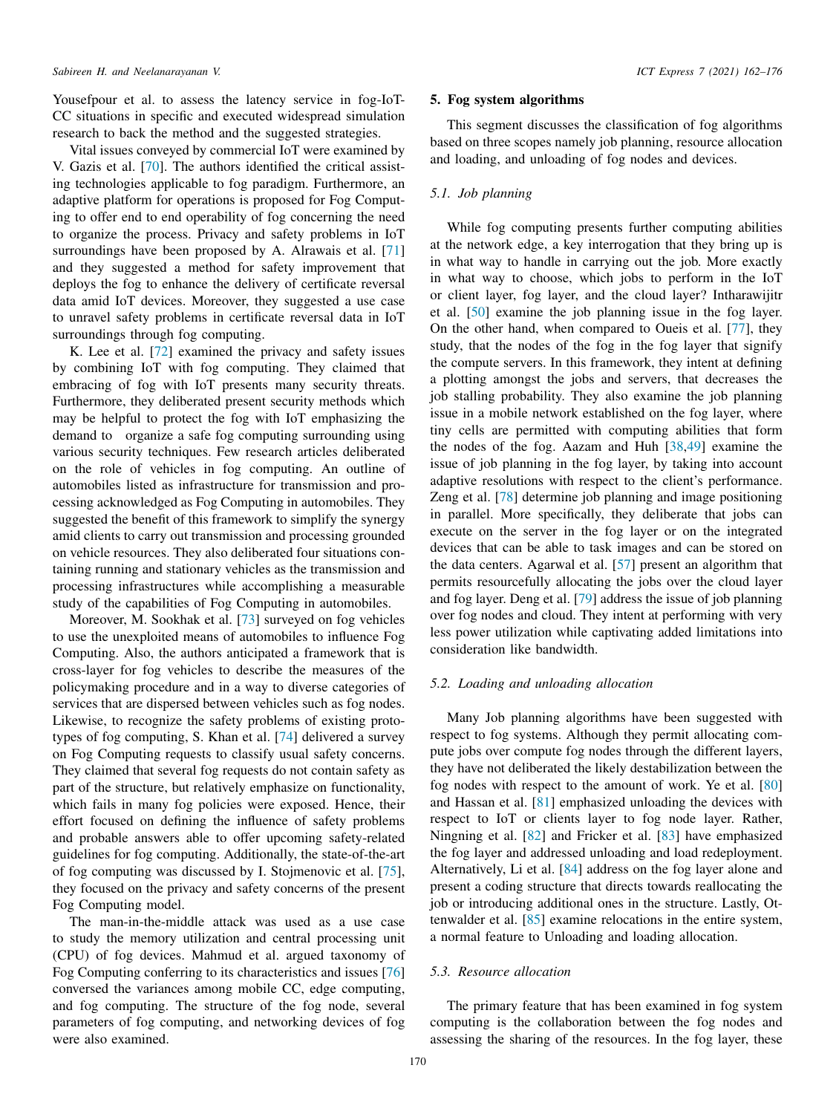Yousefpour et al. to assess the latency service in fog-IoT-CC situations in specific and executed widespread simulation research to back the method and the suggested strategies.

Vital issues conveyed by commercial IoT were examined by V. Gazis et al. [[70\]](#page-13-24). The authors identified the critical assisting technologies applicable to fog paradigm. Furthermore, an adaptive platform for operations is proposed for Fog Computing to offer end to end operability of fog concerning the need to organize the process. Privacy and safety problems in IoT surroundings have been proposed by A. Alrawais et al. [\[71](#page-13-25)] and they suggested a method for safety improvement that deploys the fog to enhance the delivery of certificate reversal data amid IoT devices. Moreover, they suggested a use case to unravel safety problems in certificate reversal data in IoT surroundings through fog computing.

K. Lee et al. [[72\]](#page-13-26) examined the privacy and safety issues by combining IoT with fog computing. They claimed that embracing of fog with IoT presents many security threats. Furthermore, they deliberated present security methods which may be helpful to protect the fog with IoT emphasizing the demand to organize a safe fog computing surrounding using various security techniques. Few research articles deliberated on the role of vehicles in fog computing. An outline of automobiles listed as infrastructure for transmission and processing acknowledged as Fog Computing in automobiles. They suggested the benefit of this framework to simplify the synergy amid clients to carry out transmission and processing grounded on vehicle resources. They also deliberated four situations containing running and stationary vehicles as the transmission and processing infrastructures while accomplishing a measurable study of the capabilities of Fog Computing in automobiles.

Moreover, M. Sookhak et al. [[73\]](#page-13-27) surveyed on fog vehicles to use the unexploited means of automobiles to influence Fog Computing. Also, the authors anticipated a framework that is cross-layer for fog vehicles to describe the measures of the policymaking procedure and in a way to diverse categories of services that are dispersed between vehicles such as fog nodes. Likewise, to recognize the safety problems of existing prototypes of fog computing, S. Khan et al. [\[74](#page-13-28)] delivered a survey on Fog Computing requests to classify usual safety concerns. They claimed that several fog requests do not contain safety as part of the structure, but relatively emphasize on functionality, which fails in many fog policies were exposed. Hence, their effort focused on defining the influence of safety problems and probable answers able to offer upcoming safety-related guidelines for fog computing. Additionally, the state-of-the-art of fog computing was discussed by I. Stojmenovic et al. [[75\]](#page-13-29), they focused on the privacy and safety concerns of the present Fog Computing model.

The man-in-the-middle attack was used as a use case to study the memory utilization and central processing unit (CPU) of fog devices. Mahmud et al. argued taxonomy of Fog Computing conferring to its characteristics and issues [\[76](#page-13-30)] conversed the variances among mobile CC, edge computing, and fog computing. The structure of the fog node, several parameters of fog computing, and networking devices of fog were also examined.

## 5. Fog system algorithms

<span id="page-8-0"></span>This segment discusses the classification of fog algorithms based on three scopes namely job planning, resource allocation and loading, and unloading of fog nodes and devices.

# *5.1. Job planning*

While fog computing presents further computing abilities at the network edge, a key interrogation that they bring up is in what way to handle in carrying out the job. More exactly in what way to choose, which jobs to perform in the IoT or client layer, fog layer, and the cloud layer? Intharawijitr et al. [[50\]](#page-13-4) examine the job planning issue in the fog layer. On the other hand, when compared to Oueis et al. [\[77](#page-13-31)], they study, that the nodes of the fog in the fog layer that signify the compute servers. In this framework, they intent at defining a plotting amongst the jobs and servers, that decreases the job stalling probability. They also examine the job planning issue in a mobile network established on the fog layer, where tiny cells are permitted with computing abilities that form the nodes of the fog. Aazam and Huh [\[38](#page-12-34),[49\]](#page-13-3) examine the issue of job planning in the fog layer, by taking into account adaptive resolutions with respect to the client's performance. Zeng et al. [[78\]](#page-13-32) determine job planning and image positioning in parallel. More specifically, they deliberate that jobs can execute on the server in the fog layer or on the integrated devices that can be able to task images and can be stored on the data centers. Agarwal et al. [[57\]](#page-13-11) present an algorithm that permits resourcefully allocating the jobs over the cloud layer and fog layer. Deng et al. [\[79](#page-13-33)] address the issue of job planning over fog nodes and cloud. They intent at performing with very less power utilization while captivating added limitations into consideration like bandwidth.

## *5.2. Loading and unloading allocation*

Many Job planning algorithms have been suggested with respect to fog systems. Although they permit allocating compute jobs over compute fog nodes through the different layers, they have not deliberated the likely destabilization between the fog nodes with respect to the amount of work. Ye et al. [\[80](#page-13-34)] and Hassan et al. [\[81](#page-13-35)] emphasized unloading the devices with respect to IoT or clients layer to fog node layer. Rather, Ningning et al. [[82\]](#page-13-36) and Fricker et al. [\[83](#page-13-37)] have emphasized the fog layer and addressed unloading and load redeployment. Alternatively, Li et al. [[84\]](#page-14-0) address on the fog layer alone and present a coding structure that directs towards reallocating the job or introducing additional ones in the structure. Lastly, Ottenwalder et al. [\[85](#page-14-1)] examine relocations in the entire system, a normal feature to Unloading and loading allocation.

## *5.3. Resource allocation*

The primary feature that has been examined in fog system computing is the collaboration between the fog nodes and assessing the sharing of the resources. In the fog layer, these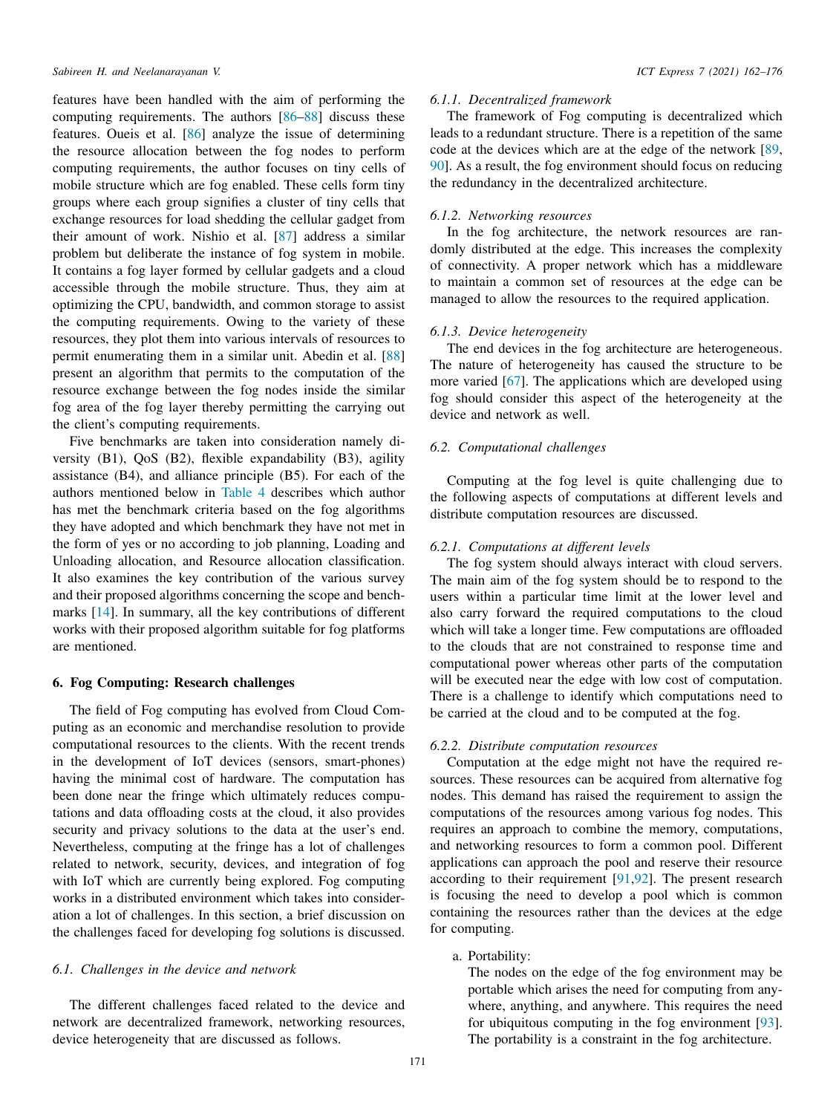features have been handled with the aim of performing the computing requirements. The authors [[86–](#page-14-2)[88\]](#page-14-3) discuss these features. Oueis et al. [\[86](#page-14-2)] analyze the issue of determining the resource allocation between the fog nodes to perform computing requirements, the author focuses on tiny cells of mobile structure which are fog enabled. These cells form tiny groups where each group signifies a cluster of tiny cells that exchange resources for load shedding the cellular gadget from their amount of work. Nishio et al. [\[87](#page-14-4)] address a similar problem but deliberate the instance of fog system in mobile. It contains a fog layer formed by cellular gadgets and a cloud accessible through the mobile structure. Thus, they aim at optimizing the CPU, bandwidth, and common storage to assist the computing requirements. Owing to the variety of these resources, they plot them into various intervals of resources to permit enumerating them in a similar unit. Abedin et al. [\[88](#page-14-3)] present an algorithm that permits to the computation of the resource exchange between the fog nodes inside the similar fog area of the fog layer thereby permitting the carrying out the client's computing requirements.

Five benchmarks are taken into consideration namely diversity (B1), QoS (B2), flexible expandability (B3), agility assistance (B4), and alliance principle (B5). For each of the authors mentioned below in [Table 4](#page-10-0) describes which author has met the benchmark criteria based on the fog algorithms they have adopted and which benchmark they have not met in the form of yes or no according to job planning, Loading and Unloading allocation, and Resource allocation classification. It also examines the key contribution of the various survey and their proposed algorithms concerning the scope and benchmarks [\[14](#page-12-10)]. In summary, all the key contributions of different works with their proposed algorithm suitable for fog platforms are mentioned.

# 6. Fog Computing: Research challenges

<span id="page-9-0"></span>The field of Fog computing has evolved from Cloud Computing as an economic and merchandise resolution to provide computational resources to the clients. With the recent trends in the development of IoT devices (sensors, smart-phones) having the minimal cost of hardware. The computation has been done near the fringe which ultimately reduces computations and data offloading costs at the cloud, it also provides security and privacy solutions to the data at the user's end. Nevertheless, computing at the fringe has a lot of challenges related to network, security, devices, and integration of fog with IoT which are currently being explored. Fog computing works in a distributed environment which takes into consideration a lot of challenges. In this section, a brief discussion on the challenges faced for developing fog solutions is discussed.

# *6.1. Challenges in the device and network*

The different challenges faced related to the device and network are decentralized framework, networking resources, device heterogeneity that are discussed as follows.

## *6.1.1. Decentralized framework*

The framework of Fog computing is decentralized which leads to a redundant structure. There is a repetition of the same code at the devices which are at the edge of the network [\[89](#page-14-5), [90\]](#page-14-6). As a result, the fog environment should focus on reducing the redundancy in the decentralized architecture.

# *6.1.2. Networking resources*

In the fog architecture, the network resources are randomly distributed at the edge. This increases the complexity of connectivity. A proper network which has a middleware to maintain a common set of resources at the edge can be managed to allow the resources to the required application.

# *6.1.3. Device heterogeneity*

The end devices in the fog architecture are heterogeneous. The nature of heterogeneity has caused the structure to be more varied [\[67](#page-13-21)]. The applications which are developed using fog should consider this aspect of the heterogeneity at the device and network as well.

# *6.2. Computational challenges*

Computing at the fog level is quite challenging due to the following aspects of computations at different levels and distribute computation resources are discussed.

## *6.2.1. Computations at different levels*

The fog system should always interact with cloud servers. The main aim of the fog system should be to respond to the users within a particular time limit at the lower level and also carry forward the required computations to the cloud which will take a longer time. Few computations are offloaded to the clouds that are not constrained to response time and computational power whereas other parts of the computation will be executed near the edge with low cost of computation. There is a challenge to identify which computations need to be carried at the cloud and to be computed at the fog.

## *6.2.2. Distribute computation resources*

Computation at the edge might not have the required resources. These resources can be acquired from alternative fog nodes. This demand has raised the requirement to assign the computations of the resources among various fog nodes. This requires an approach to combine the memory, computations, and networking resources to form a common pool. Different applications can approach the pool and reserve their resource according to their requirement [[91,](#page-14-7)[92](#page-14-8)]. The present research is focusing the need to develop a pool which is common containing the resources rather than the devices at the edge for computing.

a. Portability:

The nodes on the edge of the fog environment may be portable which arises the need for computing from anywhere, anything, and anywhere. This requires the need for ubiquitous computing in the fog environment [[93\]](#page-14-9). The portability is a constraint in the fog architecture.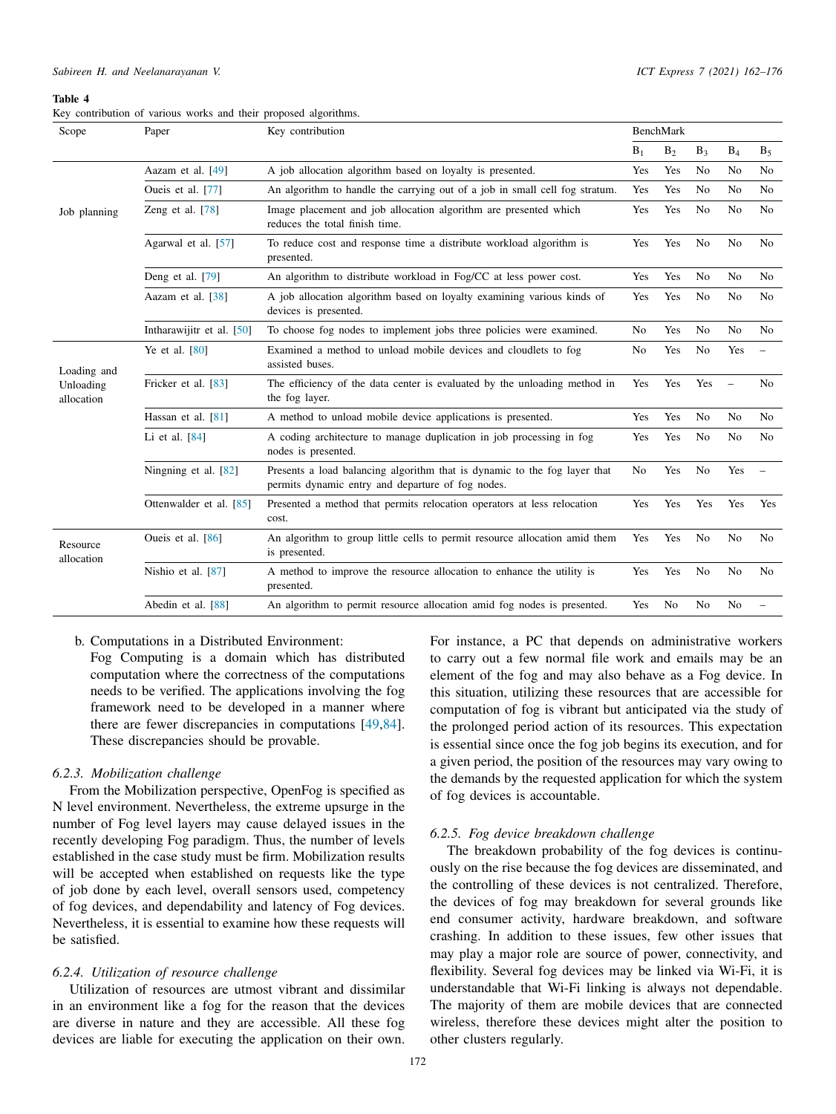#### *Sabireen H. and Neelanarayanan V. ICT Express 7 (2021) 162–176*

#### Table 4

<span id="page-10-0"></span>

|  | Key contribution of various works and their proposed algorithms. |  |  |  |  |  |  |  |
|--|------------------------------------------------------------------|--|--|--|--|--|--|--|
|--|------------------------------------------------------------------|--|--|--|--|--|--|--|

| Scope                   | Paper                     | Key contribution                                                                                                               |                |                | <b>BenchMark</b> |                          |                          |  |  |  |
|-------------------------|---------------------------|--------------------------------------------------------------------------------------------------------------------------------|----------------|----------------|------------------|--------------------------|--------------------------|--|--|--|
|                         |                           |                                                                                                                                | $B_1$          | $B_2$          | $B_3$            | $B_4$                    | B <sub>5</sub>           |  |  |  |
|                         | Aazam et al. [49]         | A job allocation algorithm based on loyalty is presented.                                                                      | Yes            | Yes            | N <sub>0</sub>   | No                       | N <sub>0</sub>           |  |  |  |
|                         | Oueis et al. [77]         | An algorithm to handle the carrying out of a job in small cell fog stratum.                                                    | Yes            | Yes            | N <sub>0</sub>   | No                       | N <sub>0</sub>           |  |  |  |
| Job planning            | Zeng et al. [78]          | Image placement and job allocation algorithm are presented which<br>reduces the total finish time.                             | Yes            | Yes            | N <sub>0</sub>   | N <sub>0</sub>           | N <sub>0</sub>           |  |  |  |
|                         | Agarwal et al. [57]       | To reduce cost and response time a distribute workload algorithm is<br>presented.                                              | Yes            | Yes            | N <sub>0</sub>   | N <sub>o</sub>           | N <sub>0</sub>           |  |  |  |
|                         | Deng et al. [79]          | An algorithm to distribute workload in Fog/CC at less power cost.                                                              | Yes            | Yes            | N <sub>0</sub>   | No                       | N <sub>0</sub>           |  |  |  |
|                         | Aazam et al. [38]         | A job allocation algorithm based on loyalty examining various kinds of<br>devices is presented.                                | Yes            | Yes            | N <sub>0</sub>   | N <sub>0</sub>           | N <sub>0</sub>           |  |  |  |
|                         | Intharawijitr et al. [50] | To choose fog nodes to implement jobs three policies were examined.                                                            | N <sub>o</sub> | Yes            | N <sub>0</sub>   | N <sub>o</sub>           | N <sub>0</sub>           |  |  |  |
| Loading and             | Ye et al. [80]            | Examined a method to unload mobile devices and cloudlets to fog<br>assisted buses.                                             | N <sub>0</sub> | Yes            | N <sub>0</sub>   | Yes                      |                          |  |  |  |
| Unloading<br>allocation | Fricker et al. [83]       | The efficiency of the data center is evaluated by the unloading method in<br>the fog layer.                                    | Yes            | Yes            | Yes              | $\overline{\phantom{a}}$ | N <sub>0</sub>           |  |  |  |
|                         | Hassan et al. $[81]$      | A method to unload mobile device applications is presented.                                                                    | Yes            | Yes            | No               | N <sub>o</sub>           | N <sub>0</sub>           |  |  |  |
|                         | Li et al. [84]            | A coding architecture to manage duplication in job processing in fog<br>nodes is presented.                                    | Yes            | Yes            | N <sub>0</sub>   | No                       | N <sub>0</sub>           |  |  |  |
|                         | Ningning et al. [82]      | Presents a load balancing algorithm that is dynamic to the fog layer that<br>permits dynamic entry and departure of fog nodes. | N <sub>o</sub> | Yes            | N <sub>o</sub>   | Yes                      | $\overline{\phantom{0}}$ |  |  |  |
|                         | Ottenwalder et al. [85]   | Presented a method that permits relocation operators at less relocation<br>cost.                                               | Yes            | Yes            | Yes              | Yes                      | Yes                      |  |  |  |
| Resource<br>allocation  | Oueis et al. [86]         | An algorithm to group little cells to permit resource allocation amid them<br>is presented.                                    | Yes            | Yes            | N <sub>0</sub>   | N <sub>0</sub>           | N <sub>0</sub>           |  |  |  |
|                         | Nishio et al. [87]        | A method to improve the resource allocation to enhance the utility is<br>presented.                                            | Yes            | Yes            | N <sub>0</sub>   | N <sub>o</sub>           | N <sub>0</sub>           |  |  |  |
|                         | Abedin et al. [88]        | An algorithm to permit resource allocation amid fog nodes is presented.                                                        | Yes            | N <sub>0</sub> | N <sub>0</sub>   | No                       |                          |  |  |  |

## b. Computations in a Distributed Environment:

Fog Computing is a domain which has distributed computation where the correctness of the computations needs to be verified. The applications involving the fog framework need to be developed in a manner where there are fewer discrepancies in computations [\[49](#page-13-3),[84\]](#page-14-0). These discrepancies should be provable.

# *6.2.3. Mobilization challenge*

From the Mobilization perspective, OpenFog is specified as N level environment. Nevertheless, the extreme upsurge in the number of Fog level layers may cause delayed issues in the recently developing Fog paradigm. Thus, the number of levels established in the case study must be firm. Mobilization results will be accepted when established on requests like the type of job done by each level, overall sensors used, competency of fog devices, and dependability and latency of Fog devices. Nevertheless, it is essential to examine how these requests will be satisfied.

# *6.2.4. Utilization of resource challenge*

Utilization of resources are utmost vibrant and dissimilar in an environment like a fog for the reason that the devices are diverse in nature and they are accessible. All these fog devices are liable for executing the application on their own.

For instance, a PC that depends on administrative workers to carry out a few normal file work and emails may be an element of the fog and may also behave as a Fog device. In this situation, utilizing these resources that are accessible for computation of fog is vibrant but anticipated via the study of the prolonged period action of its resources. This expectation is essential since once the fog job begins its execution, and for a given period, the position of the resources may vary owing to the demands by the requested application for which the system of fog devices is accountable.

## *6.2.5. Fog device breakdown challenge*

The breakdown probability of the fog devices is continuously on the rise because the fog devices are disseminated, and the controlling of these devices is not centralized. Therefore, the devices of fog may breakdown for several grounds like end consumer activity, hardware breakdown, and software crashing. In addition to these issues, few other issues that may play a major role are source of power, connectivity, and flexibility. Several fog devices may be linked via Wi-Fi, it is understandable that Wi-Fi linking is always not dependable. The majority of them are mobile devices that are connected wireless, therefore these devices might alter the position to other clusters regularly.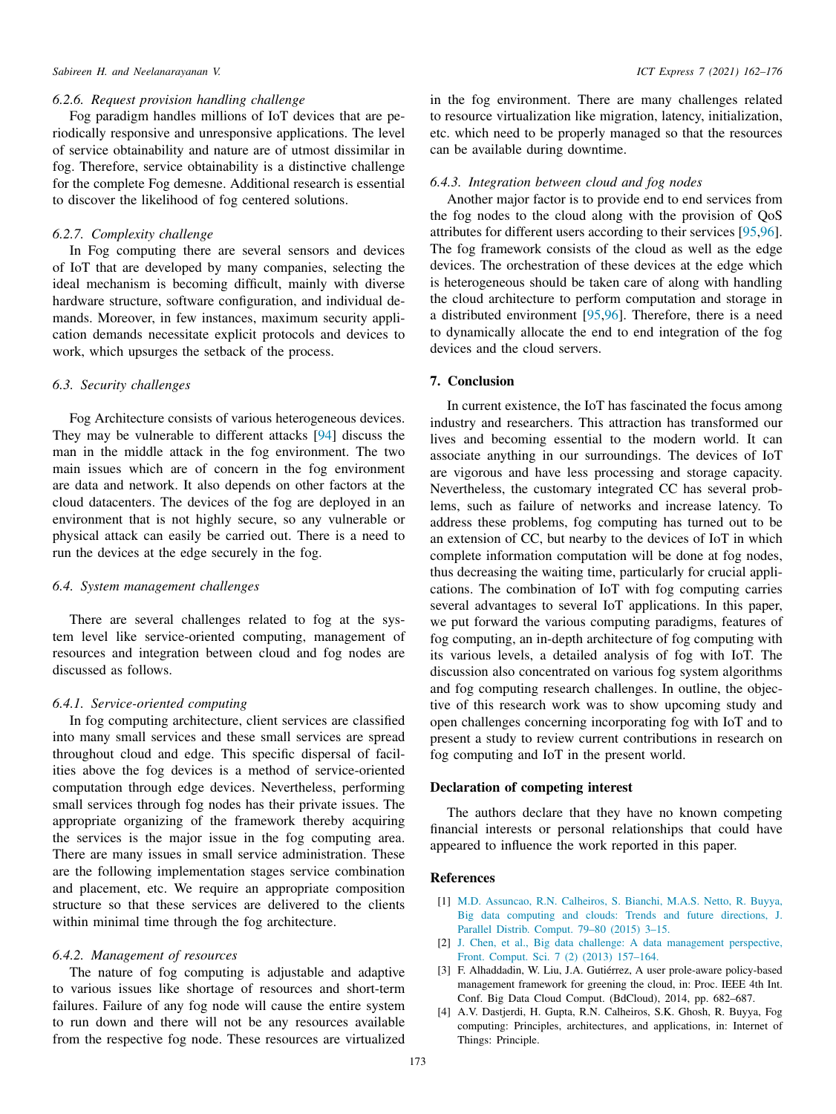## *Sabireen H. and Neelanarayanan V. ICT Express 7 (2021) 162–176*

## *6.2.6. Request provision handling challenge*

Fog paradigm handles millions of IoT devices that are periodically responsive and unresponsive applications. The level of service obtainability and nature are of utmost dissimilar in fog. Therefore, service obtainability is a distinctive challenge for the complete Fog demesne. Additional research is essential to discover the likelihood of fog centered solutions.

# *6.2.7. Complexity challenge*

In Fog computing there are several sensors and devices of IoT that are developed by many companies, selecting the ideal mechanism is becoming difficult, mainly with diverse hardware structure, software configuration, and individual demands. Moreover, in few instances, maximum security application demands necessitate explicit protocols and devices to work, which upsurges the setback of the process.

# *6.3. Security challenges*

Fog Architecture consists of various heterogeneous devices. They may be vulnerable to different attacks [[94\]](#page-14-10) discuss the man in the middle attack in the fog environment. The two main issues which are of concern in the fog environment are data and network. It also depends on other factors at the cloud datacenters. The devices of the fog are deployed in an environment that is not highly secure, so any vulnerable or physical attack can easily be carried out. There is a need to run the devices at the edge securely in the fog.

# *6.4. System management challenges*

There are several challenges related to fog at the system level like service-oriented computing, management of resources and integration between cloud and fog nodes are discussed as follows.

# *6.4.1. Service-oriented computing*

In fog computing architecture, client services are classified into many small services and these small services are spread throughout cloud and edge. This specific dispersal of facilities above the fog devices is a method of service-oriented computation through edge devices. Nevertheless, performing small services through fog nodes has their private issues. The appropriate organizing of the framework thereby acquiring the services is the major issue in the fog computing area. There are many issues in small service administration. These are the following implementation stages service combination and placement, etc. We require an appropriate composition structure so that these services are delivered to the clients within minimal time through the fog architecture.

# *6.4.2. Management of resources*

The nature of fog computing is adjustable and adaptive to various issues like shortage of resources and short-term failures. Failure of any fog node will cause the entire system to run down and there will not be any resources available from the respective fog node. These resources are virtualized

in the fog environment. There are many challenges related to resource virtualization like migration, latency, initialization, etc. which need to be properly managed so that the resources can be available during downtime.

## *6.4.3. Integration between cloud and fog nodes*

Another major factor is to provide end to end services from the fog nodes to the cloud along with the provision of QoS attributes for different users according to their services [\[95](#page-14-11),[96\]](#page-14-12). The fog framework consists of the cloud as well as the edge devices. The orchestration of these devices at the edge which is heterogeneous should be taken care of along with handling the cloud architecture to perform computation and storage in a distributed environment [\[95](#page-14-11),[96\]](#page-14-12). Therefore, there is a need to dynamically allocate the end to end integration of the fog devices and the cloud servers.

# 7. Conclusion

In current existence, the IoT has fascinated the focus among industry and researchers. This attraction has transformed our lives and becoming essential to the modern world. It can associate anything in our surroundings. The devices of IoT are vigorous and have less processing and storage capacity. Nevertheless, the customary integrated CC has several problems, such as failure of networks and increase latency. To address these problems, fog computing has turned out to be an extension of CC, but nearby to the devices of IoT in which complete information computation will be done at fog nodes, thus decreasing the waiting time, particularly for crucial applications. The combination of IoT with fog computing carries several advantages to several IoT applications. In this paper, we put forward the various computing paradigms, features of fog computing, an in-depth architecture of fog computing with its various levels, a detailed analysis of fog with IoT. The discussion also concentrated on various fog system algorithms and fog computing research challenges. In outline, the objective of this research work was to show upcoming study and open challenges concerning incorporating fog with IoT and to present a study to review current contributions in research on fog computing and IoT in the present world.

# Declaration of competing interest

The authors declare that they have no known competing financial interests or personal relationships that could have appeared to influence the work reported in this paper.

# References

- <span id="page-11-0"></span>[1] [M.D. Assuncao, R.N. Calheiros, S. Bianchi, M.A.S. Netto, R. Buyya,](http://refhub.elsevier.com/S2405-9595(21)00060-6/sb1) [Big data computing and clouds: Trends and future directions, J.](http://refhub.elsevier.com/S2405-9595(21)00060-6/sb1) [Parallel Distrib. Comput. 79–80 \(2015\) 3–15.](http://refhub.elsevier.com/S2405-9595(21)00060-6/sb1)
- <span id="page-11-1"></span>[2] [J. Chen, et al., Big data challenge: A data management perspective,](http://refhub.elsevier.com/S2405-9595(21)00060-6/sb2) [Front. Comput. Sci. 7 \(2\) \(2013\) 157–164.](http://refhub.elsevier.com/S2405-9595(21)00060-6/sb2)
- <span id="page-11-2"></span>[3] F. Alhaddadin, W. Liu, J.A. Gutiérrez, A user prole-aware policy-based management framework for greening the cloud, in: Proc. IEEE 4th Int. Conf. Big Data Cloud Comput. (BdCloud), 2014, pp. 682–687.
- <span id="page-11-3"></span>[4] A.V. Dastjerdi, H. Gupta, R.N. Calheiros, S.K. Ghosh, R. Buyya, Fog computing: Principles, architectures, and applications, in: Internet of Things: Principle.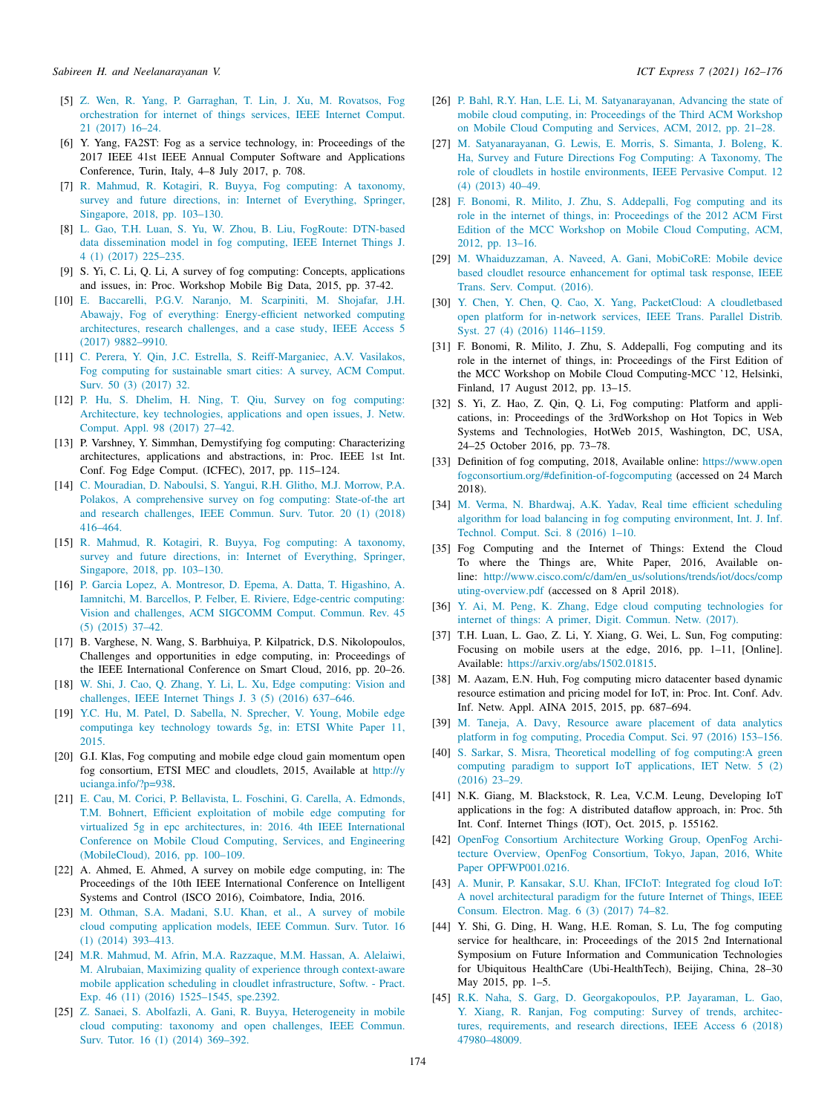- <span id="page-12-0"></span>[5] [Z. Wen, R. Yang, P. Garraghan, T. Lin, J. Xu, M. Rovatsos, Fog](http://refhub.elsevier.com/S2405-9595(21)00060-6/sb5) [orchestration for internet of things services, IEEE Internet Comput.](http://refhub.elsevier.com/S2405-9595(21)00060-6/sb5) [21 \(2017\) 16–24.](http://refhub.elsevier.com/S2405-9595(21)00060-6/sb5)
- <span id="page-12-1"></span>[6] Y. Yang, FA2ST: Fog as a service technology, in: Proceedings of the 2017 IEEE 41st IEEE Annual Computer Software and Applications Conference, Turin, Italy, 4–8 July 2017, p. 708.
- <span id="page-12-2"></span>[7] [R. Mahmud, R. Kotagiri, R. Buyya, Fog computing: A taxonomy,](http://refhub.elsevier.com/S2405-9595(21)00060-6/sb7) [survey and future directions, in: Internet of Everything, Springer,](http://refhub.elsevier.com/S2405-9595(21)00060-6/sb7) [Singapore, 2018, pp. 103–130.](http://refhub.elsevier.com/S2405-9595(21)00060-6/sb7)
- <span id="page-12-3"></span>[8] [L. Gao, T.H. Luan, S. Yu, W. Zhou, B. Liu, FogRoute: DTN-based](http://refhub.elsevier.com/S2405-9595(21)00060-6/sb8) [data dissemination model in fog computing, IEEE Internet Things J.](http://refhub.elsevier.com/S2405-9595(21)00060-6/sb8) [4 \(1\) \(2017\) 225–235.](http://refhub.elsevier.com/S2405-9595(21)00060-6/sb8)
- <span id="page-12-4"></span>[9] S. Yi, C. Li, Q. Li, A survey of fog computing: Concepts, applications and issues, in: Proc. Workshop Mobile Big Data, 2015, pp. 37-42.
- <span id="page-12-6"></span>[10] [E. Baccarelli, P.G.V. Naranjo, M. Scarpiniti, M. Shojafar, J.H.](http://refhub.elsevier.com/S2405-9595(21)00060-6/sb10) [Abawajy, Fog of everything: Energy-efficient networked computing](http://refhub.elsevier.com/S2405-9595(21)00060-6/sb10) [architectures, research challenges, and a case study, IEEE Access 5](http://refhub.elsevier.com/S2405-9595(21)00060-6/sb10) [\(2017\) 9882–9910.](http://refhub.elsevier.com/S2405-9595(21)00060-6/sb10)
- <span id="page-12-7"></span>[11] [C. Perera, Y. Qin, J.C. Estrella, S. Reiff-Marganiec, A.V. Vasilakos,](http://refhub.elsevier.com/S2405-9595(21)00060-6/sb11) [Fog computing for sustainable smart cities: A survey, ACM Comput.](http://refhub.elsevier.com/S2405-9595(21)00060-6/sb11) [Surv. 50 \(3\) \(2017\) 32.](http://refhub.elsevier.com/S2405-9595(21)00060-6/sb11)
- <span id="page-12-8"></span>[12] [P. Hu, S. Dhelim, H. Ning, T. Qiu, Survey on fog computing:](http://refhub.elsevier.com/S2405-9595(21)00060-6/sb12) [Architecture, key technologies, applications and open issues, J. Netw.](http://refhub.elsevier.com/S2405-9595(21)00060-6/sb12) [Comput. Appl. 98 \(2017\) 27–42.](http://refhub.elsevier.com/S2405-9595(21)00060-6/sb12)
- <span id="page-12-9"></span>[13] P. Varshney, Y. Simmhan, Demystifying fog computing: Characterizing architectures, applications and abstractions, in: Proc. IEEE 1st Int. Conf. Fog Edge Comput. (ICFEC), 2017, pp. 115–124.
- <span id="page-12-10"></span>[14] [C. Mouradian, D. Naboulsi, S. Yangui, R.H. Glitho, M.J. Morrow, P.A.](http://refhub.elsevier.com/S2405-9595(21)00060-6/sb14) [Polakos, A comprehensive survey on fog computing: State-of-the art](http://refhub.elsevier.com/S2405-9595(21)00060-6/sb14) [and research challenges, IEEE Commun. Surv. Tutor. 20 \(1\) \(2018\)](http://refhub.elsevier.com/S2405-9595(21)00060-6/sb14) [416–464.](http://refhub.elsevier.com/S2405-9595(21)00060-6/sb14)
- <span id="page-12-5"></span>[15] [R. Mahmud, R. Kotagiri, R. Buyya, Fog computing: A taxonomy,](http://refhub.elsevier.com/S2405-9595(21)00060-6/sb15) [survey and future directions, in: Internet of Everything, Springer,](http://refhub.elsevier.com/S2405-9595(21)00060-6/sb15) [Singapore, 2018, pp. 103–130.](http://refhub.elsevier.com/S2405-9595(21)00060-6/sb15)
- <span id="page-12-11"></span>[16] [P. Garcia Lopez, A. Montresor, D. Epema, A. Datta, T. Higashino, A.](http://refhub.elsevier.com/S2405-9595(21)00060-6/sb16) [Iamnitchi, M. Barcellos, P. Felber, E. Riviere, Edge-centric computing:](http://refhub.elsevier.com/S2405-9595(21)00060-6/sb16) [Vision and challenges, ACM SIGCOMM Comput. Commun. Rev. 45](http://refhub.elsevier.com/S2405-9595(21)00060-6/sb16) [\(5\) \(2015\) 37–42.](http://refhub.elsevier.com/S2405-9595(21)00060-6/sb16)
- <span id="page-12-12"></span>[17] B. Varghese, N. Wang, S. Barbhuiya, P. Kilpatrick, D.S. Nikolopoulos, Challenges and opportunities in edge computing, in: Proceedings of the IEEE International Conference on Smart Cloud, 2016, pp. 20–26.
- <span id="page-12-13"></span>[18] [W. Shi, J. Cao, Q. Zhang, Y. Li, L. Xu, Edge computing: Vision and](http://refhub.elsevier.com/S2405-9595(21)00060-6/sb18) [challenges, IEEE Internet Things J. 3 \(5\) \(2016\) 637–646.](http://refhub.elsevier.com/S2405-9595(21)00060-6/sb18)
- <span id="page-12-14"></span>[19] [Y.C. Hu, M. Patel, D. Sabella, N. Sprecher, V. Young, Mobile edge](http://refhub.elsevier.com/S2405-9595(21)00060-6/sb19) [computinga key technology towards 5g, in: ETSI White Paper 11,](http://refhub.elsevier.com/S2405-9595(21)00060-6/sb19) [2015.](http://refhub.elsevier.com/S2405-9595(21)00060-6/sb19)
- <span id="page-12-15"></span>[20] G.I. Klas, Fog computing and mobile edge cloud gain momentum open fog consortium, ETSI MEC and cloudlets, 2015, Available at [http://y](http://yucianga.info/?p=938) [ucianga.info/?p=938.](http://yucianga.info/?p=938)
- <span id="page-12-16"></span>[21] [E. Cau, M. Corici, P. Bellavista, L. Foschini, G. Carella, A. Edmonds,](http://refhub.elsevier.com/S2405-9595(21)00060-6/sb21) [T.M. Bohnert, Efficient exploitation of mobile edge computing for](http://refhub.elsevier.com/S2405-9595(21)00060-6/sb21) [virtualized 5g in epc architectures, in: 2016. 4th IEEE International](http://refhub.elsevier.com/S2405-9595(21)00060-6/sb21) [Conference on Mobile Cloud Computing, Services, and Engineering](http://refhub.elsevier.com/S2405-9595(21)00060-6/sb21) [\(MobileCloud\), 2016, pp. 100–109.](http://refhub.elsevier.com/S2405-9595(21)00060-6/sb21)
- <span id="page-12-17"></span>[22] A. Ahmed, E. Ahmed, A survey on mobile edge computing, in: The Proceedings of the 10th IEEE International Conference on Intelligent Systems and Control (ISCO 2016), Coimbatore, India, 2016.
- <span id="page-12-18"></span>[23] [M. Othman, S.A. Madani, S.U. Khan, et al., A survey of mobile](http://refhub.elsevier.com/S2405-9595(21)00060-6/sb23) [cloud computing application models, IEEE Commun. Surv. Tutor. 16](http://refhub.elsevier.com/S2405-9595(21)00060-6/sb23) [\(1\) \(2014\) 393–413.](http://refhub.elsevier.com/S2405-9595(21)00060-6/sb23)
- <span id="page-12-19"></span>[24] [M.R. Mahmud, M. Afrin, M.A. Razzaque, M.M. Hassan, A. Alelaiwi,](http://refhub.elsevier.com/S2405-9595(21)00060-6/sb24) [M. Alrubaian, Maximizing quality of experience through context-aware](http://refhub.elsevier.com/S2405-9595(21)00060-6/sb24) [mobile application scheduling in cloudlet infrastructure, Softw. - Pract.](http://refhub.elsevier.com/S2405-9595(21)00060-6/sb24) [Exp. 46 \(11\) \(2016\) 1525–1545, spe.2392.](http://refhub.elsevier.com/S2405-9595(21)00060-6/sb24)
- <span id="page-12-20"></span>[25] [Z. Sanaei, S. Abolfazli, A. Gani, R. Buyya, Heterogeneity in mobile](http://refhub.elsevier.com/S2405-9595(21)00060-6/sb25) [cloud computing: taxonomy and open challenges, IEEE Commun.](http://refhub.elsevier.com/S2405-9595(21)00060-6/sb25) [Surv. Tutor. 16 \(1\) \(2014\) 369–392.](http://refhub.elsevier.com/S2405-9595(21)00060-6/sb25)
- <span id="page-12-21"></span>[26] [P. Bahl, R.Y. Han, L.E. Li, M. Satyanarayanan, Advancing the state of](http://refhub.elsevier.com/S2405-9595(21)00060-6/sb26) [mobile cloud computing, in: Proceedings of the Third ACM Workshop](http://refhub.elsevier.com/S2405-9595(21)00060-6/sb26) [on Mobile Cloud Computing and Services, ACM, 2012, pp. 21–28.](http://refhub.elsevier.com/S2405-9595(21)00060-6/sb26)
- <span id="page-12-22"></span>[27] [M. Satyanarayanan, G. Lewis, E. Morris, S. Simanta, J. Boleng, K.](http://refhub.elsevier.com/S2405-9595(21)00060-6/sb27) [Ha, Survey and Future Directions Fog Computing: A Taxonomy, The](http://refhub.elsevier.com/S2405-9595(21)00060-6/sb27) [role of cloudlets in hostile environments, IEEE Pervasive Comput. 12](http://refhub.elsevier.com/S2405-9595(21)00060-6/sb27) [\(4\) \(2013\) 40–49.](http://refhub.elsevier.com/S2405-9595(21)00060-6/sb27)
- <span id="page-12-23"></span>[28] [F. Bonomi, R. Milito, J. Zhu, S. Addepalli, Fog computing and its](http://refhub.elsevier.com/S2405-9595(21)00060-6/sb28) [role in the internet of things, in: Proceedings of the 2012 ACM First](http://refhub.elsevier.com/S2405-9595(21)00060-6/sb28) [Edition of the MCC Workshop on Mobile Cloud Computing, ACM,](http://refhub.elsevier.com/S2405-9595(21)00060-6/sb28) [2012, pp. 13–16.](http://refhub.elsevier.com/S2405-9595(21)00060-6/sb28)
- <span id="page-12-24"></span>[29] [M. Whaiduzzaman, A. Naveed, A. Gani, MobiCoRE: Mobile device](http://refhub.elsevier.com/S2405-9595(21)00060-6/sb29) [based cloudlet resource enhancement for optimal task response, IEEE](http://refhub.elsevier.com/S2405-9595(21)00060-6/sb29) [Trans. Serv. Comput. \(2016\).](http://refhub.elsevier.com/S2405-9595(21)00060-6/sb29)
- <span id="page-12-25"></span>[30] [Y. Chen, Y. Chen, Q. Cao, X. Yang, PacketCloud: A cloudletbased](http://refhub.elsevier.com/S2405-9595(21)00060-6/sb30) [open platform for in-network services, IEEE Trans. Parallel Distrib.](http://refhub.elsevier.com/S2405-9595(21)00060-6/sb30) [Syst. 27 \(4\) \(2016\) 1146–1159.](http://refhub.elsevier.com/S2405-9595(21)00060-6/sb30)
- <span id="page-12-26"></span>[31] F. Bonomi, R. Milito, J. Zhu, S. Addepalli, Fog computing and its role in the internet of things, in: Proceedings of the First Edition of the MCC Workshop on Mobile Cloud Computing-MCC '12, Helsinki, Finland, 17 August 2012, pp. 13–15.
- <span id="page-12-27"></span>[32] S. Yi, Z. Hao, Z. Qin, Q. Li, Fog computing: Platform and applications, in: Proceedings of the 3rdWorkshop on Hot Topics in Web Systems and Technologies, HotWeb 2015, Washington, DC, USA, 24–25 October 2016, pp. 73–78.
- <span id="page-12-28"></span>[33] Definition of fog computing, 2018, Available online: [https://www.open](https://www.openfogconsortium.org/#definition-of-fogcomputing) [fogconsortium.org/#definition-of-fogcomputing](https://www.openfogconsortium.org/#definition-of-fogcomputing) (accessed on 24 March 2018).
- <span id="page-12-29"></span>[34] [M. Verma, N. Bhardwaj, A.K. Yadav, Real time efficient scheduling](http://refhub.elsevier.com/S2405-9595(21)00060-6/sb34) [algorithm for load balancing in fog computing environment, Int. J. Inf.](http://refhub.elsevier.com/S2405-9595(21)00060-6/sb34) [Technol. Comput. Sci. 8 \(2016\) 1–10.](http://refhub.elsevier.com/S2405-9595(21)00060-6/sb34)
- <span id="page-12-30"></span>[35] Fog Computing and the Internet of Things: Extend the Cloud To where the Things are, White Paper, 2016, Available online: [http://www.cisco.com/c/dam/en\\_us/solutions/trends/iot/docs/comp](http://www.cisco.com/c/dam/en_us/solutions/trends/iot/docs/computing-overview.pdf) [uting-overview.pdf](http://www.cisco.com/c/dam/en_us/solutions/trends/iot/docs/computing-overview.pdf) (accessed on 8 April 2018).
- <span id="page-12-31"></span>[36] [Y. Ai, M. Peng, K. Zhang, Edge cloud computing technologies for](http://refhub.elsevier.com/S2405-9595(21)00060-6/sb36) [internet of things: A primer, Digit. Commun. Netw. \(2017\).](http://refhub.elsevier.com/S2405-9595(21)00060-6/sb36)
- <span id="page-12-35"></span>[37] T.H. Luan, L. Gao, Z. Li, Y. Xiang, G. Wei, L. Sun, Fog computing: Focusing on mobile users at the edge, 2016, pp. 1–11, [Online]. Available: [https://arxiv.org/abs/1502.01815.](https://arxiv.org/abs/1502.01815)
- <span id="page-12-34"></span>[38] M. Aazam, E.N. Huh, Fog computing micro datacenter based dynamic resource estimation and pricing model for IoT, in: Proc. Int. Conf. Adv. Inf. Netw. Appl. AINA 2015, 2015, pp. 687–694.
- <span id="page-12-36"></span>[39] [M. Taneja, A. Davy, Resource aware placement of data analytics](http://refhub.elsevier.com/S2405-9595(21)00060-6/sb39) [platform in fog computing, Procedia Comput. Sci. 97 \(2016\) 153–156.](http://refhub.elsevier.com/S2405-9595(21)00060-6/sb39)
- <span id="page-12-37"></span>[40] [S. Sarkar, S. Misra, Theoretical modelling of fog computing:A green](http://refhub.elsevier.com/S2405-9595(21)00060-6/sb40) [computing paradigm to support IoT applications, IET Netw. 5 \(2\)](http://refhub.elsevier.com/S2405-9595(21)00060-6/sb40) [\(2016\) 23–29.](http://refhub.elsevier.com/S2405-9595(21)00060-6/sb40)
- <span id="page-12-38"></span>[41] N.K. Giang, M. Blackstock, R. Lea, V.C.M. Leung, Developing IoT applications in the fog: A distributed dataflow approach, in: Proc. 5th Int. Conf. Internet Things (IOT), Oct. 2015, p. 155162.
- <span id="page-12-39"></span>[42] [OpenFog Consortium Architecture Working Group, OpenFog Archi](http://refhub.elsevier.com/S2405-9595(21)00060-6/sb42)[tecture Overview, OpenFog Consortium, Tokyo, Japan, 2016, White](http://refhub.elsevier.com/S2405-9595(21)00060-6/sb42) [Paper OPFWP001.0216.](http://refhub.elsevier.com/S2405-9595(21)00060-6/sb42)
- <span id="page-12-40"></span>[43] [A. Munir, P. Kansakar, S.U. Khan, IFCIoT: Integrated fog cloud IoT:](http://refhub.elsevier.com/S2405-9595(21)00060-6/sb43) [A novel architectural paradigm for the future Internet of Things, IEEE](http://refhub.elsevier.com/S2405-9595(21)00060-6/sb43) [Consum. Electron. Mag. 6 \(3\) \(2017\) 74–82.](http://refhub.elsevier.com/S2405-9595(21)00060-6/sb43)
- <span id="page-12-32"></span>[44] Y. Shi, G. Ding, H. Wang, H.E. Roman, S. Lu, The fog computing service for healthcare, in: Proceedings of the 2015 2nd International Symposium on Future Information and Communication Technologies for Ubiquitous HealthCare (Ubi-HealthTech), Beijing, China, 28–30 May 2015, pp. 1–5.
- <span id="page-12-33"></span>[45] [R.K. Naha, S. Garg, D. Georgakopoulos, P.P. Jayaraman, L. Gao,](http://refhub.elsevier.com/S2405-9595(21)00060-6/sb45) [Y. Xiang, R. Ranjan, Fog computing: Survey of trends, architec](http://refhub.elsevier.com/S2405-9595(21)00060-6/sb45)[tures, requirements, and research directions, IEEE Access 6 \(2018\)](http://refhub.elsevier.com/S2405-9595(21)00060-6/sb45) [47980–48009.](http://refhub.elsevier.com/S2405-9595(21)00060-6/sb45)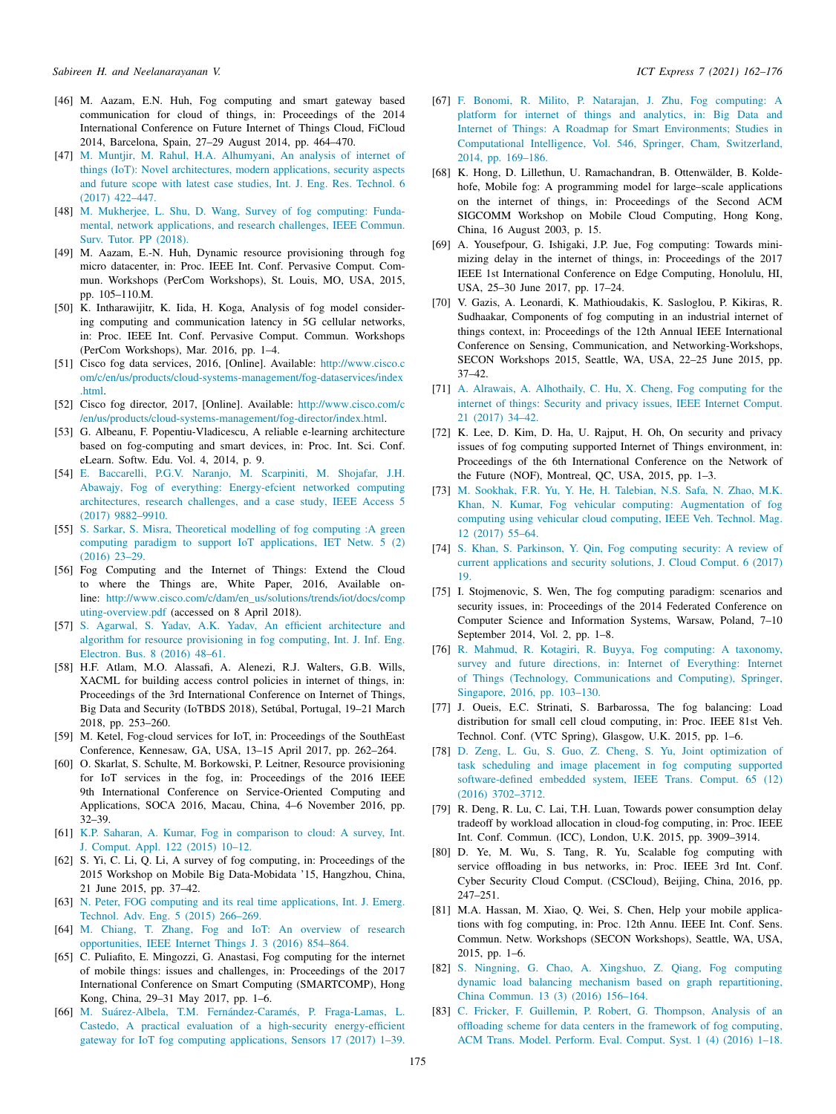- <span id="page-13-0"></span>[46] M. Aazam, E.N. Huh, Fog computing and smart gateway based communication for cloud of things, in: Proceedings of the 2014 International Conference on Future Internet of Things Cloud, FiCloud 2014, Barcelona, Spain, 27–29 August 2014, pp. 464–470.
- <span id="page-13-1"></span>[47] [M. Muntjir, M. Rahul, H.A. Alhumyani, An analysis of internet of](http://refhub.elsevier.com/S2405-9595(21)00060-6/sb47) [things \(IoT\): Novel architectures, modern applications, security aspects](http://refhub.elsevier.com/S2405-9595(21)00060-6/sb47) [and future scope with latest case studies, Int. J. Eng. Res. Technol. 6](http://refhub.elsevier.com/S2405-9595(21)00060-6/sb47) [\(2017\) 422–447.](http://refhub.elsevier.com/S2405-9595(21)00060-6/sb47)
- <span id="page-13-2"></span>[48] [M. Mukherjee, L. Shu, D. Wang, Survey of fog computing: Funda](http://refhub.elsevier.com/S2405-9595(21)00060-6/sb48)[mental, network applications, and research challenges, IEEE Commun.](http://refhub.elsevier.com/S2405-9595(21)00060-6/sb48) [Surv. Tutor. PP \(2018\).](http://refhub.elsevier.com/S2405-9595(21)00060-6/sb48)
- <span id="page-13-3"></span>[49] M. Aazam, E.-N. Huh, Dynamic resource provisioning through fog micro datacenter, in: Proc. IEEE Int. Conf. Pervasive Comput. Commun. Workshops (PerCom Workshops), St. Louis, MO, USA, 2015, pp. 105–110.M.
- <span id="page-13-4"></span>[50] K. Intharawijitr, K. Iida, H. Koga, Analysis of fog model considering computing and communication latency in 5G cellular networks, in: Proc. IEEE Int. Conf. Pervasive Comput. Commun. Workshops (PerCom Workshops), Mar. 2016, pp. 1–4.
- <span id="page-13-5"></span>[51] Cisco fog data services, 2016, [Online]. Available: [http://www.cisco.c](http://www.cisco.com/c/en/us/products/cloud-systems-management/fog-dataservices/index.html) [om/c/en/us/products/cloud-systems-management/fog-dataservices/index](http://www.cisco.com/c/en/us/products/cloud-systems-management/fog-dataservices/index.html) [.html.](http://www.cisco.com/c/en/us/products/cloud-systems-management/fog-dataservices/index.html)
- <span id="page-13-6"></span>[52] Cisco fog director, 2017, [Online]. Available: [http://www.cisco.com/c](http://www.cisco.com/c/en/us/products/cloud-systems-management/fog-director/index.html) [/en/us/products/cloud-systems-management/fog-director/index.html.](http://www.cisco.com/c/en/us/products/cloud-systems-management/fog-director/index.html)
- <span id="page-13-7"></span>[53] G. Albeanu, F. Popentiu-Vladicescu, A reliable e-learning architecture based on fog-computing and smart devices, in: Proc. Int. Sci. Conf. eLearn. Softw. Edu. Vol. 4, 2014, p. 9.
- <span id="page-13-8"></span>[54] [E. Baccarelli, P.G.V. Naranjo, M. Scarpiniti, M. Shojafar, J.H.](http://refhub.elsevier.com/S2405-9595(21)00060-6/sb54) [Abawajy, Fog of everything: Energy-efcient networked computing](http://refhub.elsevier.com/S2405-9595(21)00060-6/sb54) [architectures, research challenges, and a case study, IEEE Access 5](http://refhub.elsevier.com/S2405-9595(21)00060-6/sb54) [\(2017\) 9882–9910.](http://refhub.elsevier.com/S2405-9595(21)00060-6/sb54)
- <span id="page-13-9"></span>[55] [S. Sarkar, S. Misra, Theoretical modelling of fog computing :A green](http://refhub.elsevier.com/S2405-9595(21)00060-6/sb55) [computing paradigm to support IoT applications, IET Netw. 5 \(2\)](http://refhub.elsevier.com/S2405-9595(21)00060-6/sb55) [\(2016\) 23–29.](http://refhub.elsevier.com/S2405-9595(21)00060-6/sb55)
- <span id="page-13-10"></span>[56] Fog Computing and the Internet of Things: Extend the Cloud to where the Things are, White Paper, 2016, Available online: [http://www.cisco.com/c/dam/en\\_us/solutions/trends/iot/docs/comp](http://www.cisco.com/c/dam/en_us/solutions/trends/iot/docs/computing-overview.pdf) [uting-overview.pdf](http://www.cisco.com/c/dam/en_us/solutions/trends/iot/docs/computing-overview.pdf) (accessed on 8 April 2018).
- <span id="page-13-11"></span>[57] [S. Agarwal, S. Yadav, A.K. Yadav, An efficient architecture and](http://refhub.elsevier.com/S2405-9595(21)00060-6/sb57) [algorithm for resource provisioning in fog computing, Int. J. Inf. Eng.](http://refhub.elsevier.com/S2405-9595(21)00060-6/sb57) [Electron. Bus. 8 \(2016\) 48–61.](http://refhub.elsevier.com/S2405-9595(21)00060-6/sb57)
- <span id="page-13-12"></span>[58] H.F. Atlam, M.O. Alassafi, A. Alenezi, R.J. Walters, G.B. Wills, XACML for building access control policies in internet of things, in: Proceedings of the 3rd International Conference on Internet of Things, Big Data and Security (IoTBDS 2018), Setúbal, Portugal, 19–21 March 2018, pp. 253–260.
- <span id="page-13-13"></span>[59] M. Ketel, Fog-cloud services for IoT, in: Proceedings of the SouthEast Conference, Kennesaw, GA, USA, 13–15 April 2017, pp. 262–264.
- <span id="page-13-14"></span>[60] O. Skarlat, S. Schulte, M. Borkowski, P. Leitner, Resource provisioning for IoT services in the fog, in: Proceedings of the 2016 IEEE 9th International Conference on Service-Oriented Computing and Applications, SOCA 2016, Macau, China, 4–6 November 2016, pp. 32–39.
- <span id="page-13-15"></span>[61] [K.P. Saharan, A. Kumar, Fog in comparison to cloud: A survey, Int.](http://refhub.elsevier.com/S2405-9595(21)00060-6/sb61) [J. Comput. Appl. 122 \(2015\) 10–12.](http://refhub.elsevier.com/S2405-9595(21)00060-6/sb61)
- <span id="page-13-16"></span>[62] S. Yi, C. Li, Q. Li, A survey of fog computing, in: Proceedings of the 2015 Workshop on Mobile Big Data-Mobidata '15, Hangzhou, China, 21 June 2015, pp. 37–42.
- <span id="page-13-17"></span>[63] [N. Peter, FOG computing and its real time applications, Int. J. Emerg.](http://refhub.elsevier.com/S2405-9595(21)00060-6/sb63) [Technol. Adv. Eng. 5 \(2015\) 266–269.](http://refhub.elsevier.com/S2405-9595(21)00060-6/sb63)
- <span id="page-13-18"></span>[64] [M. Chiang, T. Zhang, Fog and IoT: An overview of research](http://refhub.elsevier.com/S2405-9595(21)00060-6/sb64) [opportunities, IEEE Internet Things J. 3 \(2016\) 854–864.](http://refhub.elsevier.com/S2405-9595(21)00060-6/sb64)
- <span id="page-13-19"></span>[65] C. Puliafito, E. Mingozzi, G. Anastasi, Fog computing for the internet of mobile things: issues and challenges, in: Proceedings of the 2017 International Conference on Smart Computing (SMARTCOMP), Hong Kong, China, 29–31 May 2017, pp. 1–6.
- <span id="page-13-20"></span>[66] [M. Suárez-Albela, T.M. Fernández-Caramés, P. Fraga-Lamas, L.](http://refhub.elsevier.com/S2405-9595(21)00060-6/sb66) [Castedo, A practical evaluation of a high-security energy-efficient](http://refhub.elsevier.com/S2405-9595(21)00060-6/sb66) [gateway for IoT fog computing applications, Sensors 17 \(2017\) 1–39.](http://refhub.elsevier.com/S2405-9595(21)00060-6/sb66)
- <span id="page-13-21"></span>[67] [F. Bonomi, R. Milito, P. Natarajan, J. Zhu, Fog computing: A](http://refhub.elsevier.com/S2405-9595(21)00060-6/sb67) [platform for internet of things and analytics, in: Big Data and](http://refhub.elsevier.com/S2405-9595(21)00060-6/sb67) [Internet of Things: A Roadmap for Smart Environments; Studies in](http://refhub.elsevier.com/S2405-9595(21)00060-6/sb67) [Computational Intelligence, Vol. 546, Springer, Cham, Switzerland,](http://refhub.elsevier.com/S2405-9595(21)00060-6/sb67) [2014, pp. 169–186.](http://refhub.elsevier.com/S2405-9595(21)00060-6/sb67)
- <span id="page-13-22"></span>[68] K. Hong, D. Lillethun, U. Ramachandran, B. Ottenwälder, B. Koldehofe, Mobile fog: A programming model for large–scale applications on the internet of things, in: Proceedings of the Second ACM SIGCOMM Workshop on Mobile Cloud Computing, Hong Kong, China, 16 August 2003, p. 15.
- <span id="page-13-23"></span>[69] A. Yousefpour, G. Ishigaki, J.P. Jue, Fog computing: Towards minimizing delay in the internet of things, in: Proceedings of the 2017 IEEE 1st International Conference on Edge Computing, Honolulu, HI, USA, 25–30 June 2017, pp. 17–24.
- <span id="page-13-24"></span>[70] V. Gazis, A. Leonardi, K. Mathioudakis, K. Sasloglou, P. Kikiras, R. Sudhaakar, Components of fog computing in an industrial internet of things context, in: Proceedings of the 12th Annual IEEE International Conference on Sensing, Communication, and Networking-Workshops, SECON Workshops 2015, Seattle, WA, USA, 22–25 June 2015, pp. 37–42.
- <span id="page-13-25"></span>[71] [A. Alrawais, A. Alhothaily, C. Hu, X. Cheng, Fog computing for the](http://refhub.elsevier.com/S2405-9595(21)00060-6/sb71) [internet of things: Security and privacy issues, IEEE Internet Comput.](http://refhub.elsevier.com/S2405-9595(21)00060-6/sb71) [21 \(2017\) 34–42.](http://refhub.elsevier.com/S2405-9595(21)00060-6/sb71)
- <span id="page-13-26"></span>[72] K. Lee, D. Kim, D. Ha, U. Rajput, H. Oh, On security and privacy issues of fog computing supported Internet of Things environment, in: Proceedings of the 6th International Conference on the Network of the Future (NOF), Montreal, QC, USA, 2015, pp. 1–3.
- <span id="page-13-27"></span>[73] [M. Sookhak, F.R. Yu, Y. He, H. Talebian, N.S. Safa, N. Zhao, M.K.](http://refhub.elsevier.com/S2405-9595(21)00060-6/sb73) [Khan, N. Kumar, Fog vehicular computing: Augmentation of fog](http://refhub.elsevier.com/S2405-9595(21)00060-6/sb73) [computing using vehicular cloud computing, IEEE Veh. Technol. Mag.](http://refhub.elsevier.com/S2405-9595(21)00060-6/sb73) [12 \(2017\) 55–64.](http://refhub.elsevier.com/S2405-9595(21)00060-6/sb73)
- <span id="page-13-28"></span>[74] [S. Khan, S. Parkinson, Y. Qin, Fog computing security: A review of](http://refhub.elsevier.com/S2405-9595(21)00060-6/sb74) [current applications and security solutions, J. Cloud Comput. 6 \(2017\)](http://refhub.elsevier.com/S2405-9595(21)00060-6/sb74) [19.](http://refhub.elsevier.com/S2405-9595(21)00060-6/sb74)
- <span id="page-13-29"></span>[75] I. Stojmenovic, S. Wen, The fog computing paradigm: scenarios and security issues, in: Proceedings of the 2014 Federated Conference on Computer Science and Information Systems, Warsaw, Poland, 7–10 September 2014, Vol. 2, pp. 1–8.
- <span id="page-13-30"></span>[76] [R. Mahmud, R. Kotagiri, R. Buyya, Fog computing: A taxonomy,](http://refhub.elsevier.com/S2405-9595(21)00060-6/sb76) [survey and future directions, in: Internet of Everything: Internet](http://refhub.elsevier.com/S2405-9595(21)00060-6/sb76) [of Things \(Technology, Communications and Computing\), Springer,](http://refhub.elsevier.com/S2405-9595(21)00060-6/sb76) [Singapore, 2016, pp. 103–130.](http://refhub.elsevier.com/S2405-9595(21)00060-6/sb76)
- <span id="page-13-31"></span>[77] J. Oueis, E.C. Strinati, S. Barbarossa, The fog balancing: Load distribution for small cell cloud computing, in: Proc. IEEE 81st Veh. Technol. Conf. (VTC Spring), Glasgow, U.K. 2015, pp. 1–6.
- <span id="page-13-32"></span>[78] [D. Zeng, L. Gu, S. Guo, Z. Cheng, S. Yu, Joint optimization of](http://refhub.elsevier.com/S2405-9595(21)00060-6/sb78) [task scheduling and image placement in fog computing supported](http://refhub.elsevier.com/S2405-9595(21)00060-6/sb78) [software-defined embedded system, IEEE Trans. Comput. 65 \(12\)](http://refhub.elsevier.com/S2405-9595(21)00060-6/sb78) [\(2016\) 3702–3712.](http://refhub.elsevier.com/S2405-9595(21)00060-6/sb78)
- <span id="page-13-33"></span>[79] R. Deng, R. Lu, C. Lai, T.H. Luan, Towards power consumption delay tradeoff by workload allocation in cloud-fog computing, in: Proc. IEEE Int. Conf. Commun. (ICC), London, U.K. 2015, pp. 3909–3914.
- <span id="page-13-34"></span>[80] D. Ye, M. Wu, S. Tang, R. Yu, Scalable fog computing with service offloading in bus networks, in: Proc. IEEE 3rd Int. Conf. Cyber Security Cloud Comput. (CSCloud), Beijing, China, 2016, pp. 247–251.
- <span id="page-13-35"></span>[81] M.A. Hassan, M. Xiao, Q. Wei, S. Chen, Help your mobile applications with fog computing, in: Proc. 12th Annu. IEEE Int. Conf. Sens. Commun. Netw. Workshops (SECON Workshops), Seattle, WA, USA, 2015, pp. 1–6.
- <span id="page-13-36"></span>[82] [S. Ningning, G. Chao, A. Xingshuo, Z. Qiang, Fog computing](http://refhub.elsevier.com/S2405-9595(21)00060-6/sb82) [dynamic load balancing mechanism based on graph repartitioning,](http://refhub.elsevier.com/S2405-9595(21)00060-6/sb82) [China Commun. 13 \(3\) \(2016\) 156–164.](http://refhub.elsevier.com/S2405-9595(21)00060-6/sb82)
- <span id="page-13-37"></span>[83] [C. Fricker, F. Guillemin, P. Robert, G. Thompson, Analysis of an](http://refhub.elsevier.com/S2405-9595(21)00060-6/sb83) [offloading scheme for data centers in the framework of fog computing,](http://refhub.elsevier.com/S2405-9595(21)00060-6/sb83) [ACM Trans. Model. Perform. Eval. Comput. Syst. 1 \(4\) \(2016\) 1–18.](http://refhub.elsevier.com/S2405-9595(21)00060-6/sb83)